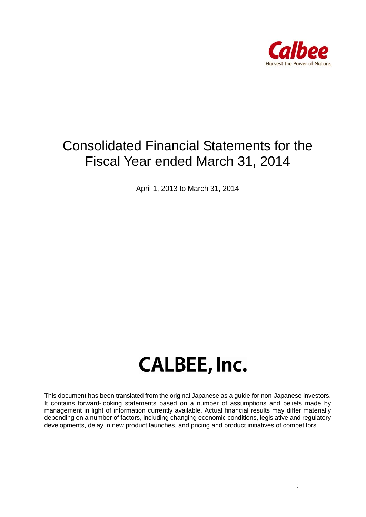

## Consolidated Financial Statements for the Fiscal Year ended March 31, 2014

April 1, 2013 to March 31, 2014

# **CALBEE, Inc.**

This document has been translated from the original Japanese as a guide for non-Japanese investors. It contains forward-looking statements based on a number of assumptions and beliefs made by management in light of information currently available. Actual financial results may differ materially depending on a number of factors, including changing economic conditions, legislative and regulatory developments, delay in new product launches, and pricing and product initiatives of competitors.

 *Page 1 of 45*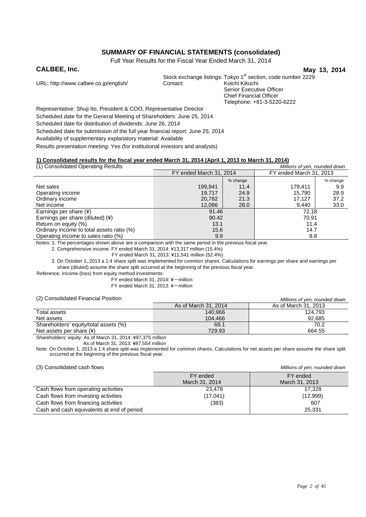### **SUMMARY OF FINANCIAL STATEMENTS (consolidated)**

Full Year Results for the Fiscal Year Ended March 31, 2014

**CALBEE, Inc.** May 13, 2014

URL: http://www.calbee.co.jp/english/

Stock exchange listings: Tokyo 1<sup>st</sup> section, code number 2229<br>Contact: Koichi Kikuchi Senior Executive Officer Chief Financial Officer Telephone: +81-3-5220-6222

Representative: Shuji Ito, President & COO, Representative Director Scheduled date for the General Meeting of Shareholders: June 25, 2014 Scheduled date for distribution of dividends: June 26, 2014 Scheduled date for submission of the full year financial report: June 25, 2014 Availability of supplementary explanatory material: Available Results presentation meeting: Yes (for institutional investors and analysts)

### **1) Consolidated results for the fiscal year ended March 31, 2014 (April 1, 2013 to March 31, 2014)**

| (1) Consolidated Operating Results        |                         |          | Millions of yen, rounded down |          |
|-------------------------------------------|-------------------------|----------|-------------------------------|----------|
|                                           | FY ended March 31, 2014 |          | FY ended March 31, 2013       |          |
|                                           |                         | % change |                               | % change |
| Net sales                                 | 199,941                 | 11.4     | 179.411                       | 9.9      |
| Operating income                          | 19.717                  | 24.9     | 15.790                        | 28.9     |
| Ordinary income                           | 20,782                  | 21.3     | 17.127                        | 37.2     |
| Net income                                | 12,086                  | 28.0     | 9,440                         | 33.0     |
| Earnings per share (¥)                    | 91.46                   |          | 72.18                         |          |
| Earnings per share (diluted) (¥)          | 90.42                   |          | 70.91                         |          |
| Return on equity (%)                      | 13.1                    |          | 11.4                          |          |
| Ordinary income to total assets ratio (%) | 15.6                    |          | 14.7                          |          |
| Operating income to sales ratio (%)       | 9.9                     |          | 8.8                           |          |

Notes: 1. The percentages shown above are a comparison with the same period in the previous fiscal year.

2. Comprehensive income: FY ended March 31, 2014: ¥13,317 million (15.4%)

FY ended March 31, 2013: ¥11,541 million (52.4%)

3. On October 1, 2013 a 1:4 share split was implemented for common shares. Calculations for earnings per share and earnings per share (diluted) assume the share split occurred at the beginning of the previous fiscal year.

Reference: Income (loss) from equity method investments:

 $FY$  ended March 31, 2014: ¥-million

FY ended March 31, 2013: ¥-million

(2) Consolidated Financial Position *Millions of yen, rounded down*

| , 2, Oonoonaatoa Finanoiar Footton    | <u>MINIOHS OF YEH, TOUHUEU UUWH</u> |                      |  |  |
|---------------------------------------|-------------------------------------|----------------------|--|--|
|                                       | As of March 31, 2014                | As of March 31, 2013 |  |  |
| Total assets                          | 140.966                             | 124.793              |  |  |
| Net assets                            | 104.466                             | 92.685               |  |  |
| Shareholders' equity/total assets (%) | 69.1                                | 70.2                 |  |  |
| Net assets per share $(*)$            | 729.93                              | 664.55               |  |  |

Shareholders' equity: As of March 31, 2014: ¥97,375 million

As of March 31, 2013: ¥87,554 million

Note: On October 1, 2013 a 1:4 share split was implemented for common shares. Calculations for net assets per share assume the share split occurred at the beginning of the previous fiscal year.

(3) Consolidated cash flows *Millions of yen, rounded down*

|                                            | FY ended<br>March 31, 2014 | FY ended<br>March 31, 2013 |
|--------------------------------------------|----------------------------|----------------------------|
| Cash flows from operating activities       | 23,478                     | 17.328                     |
| Cash flows from investing activities       | (17,041)                   | (12,999)                   |
| Cash flows from financing activities       | (383)                      | 607                        |
| Cash and cash equivalents at end of period |                            | 25,331                     |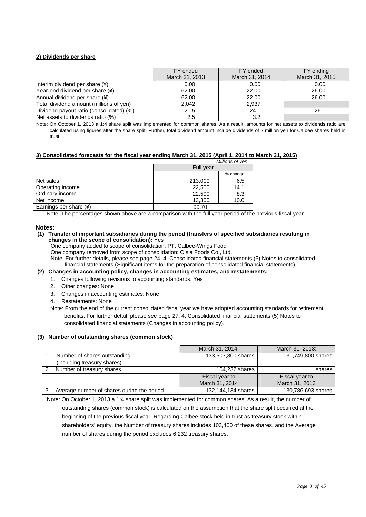#### **2) Dividends per share**

|                                          | FY ended       | FY ended       | FY ending      |
|------------------------------------------|----------------|----------------|----------------|
|                                          | March 31, 2013 | March 31, 2014 | March 31, 2015 |
| Interim dividend per share $(*)$         | 0.00           | 0.00           | 0.00           |
| Year-end dividend per share (¥)          | 62.00          | 22.00          | 26.00          |
| Annual dividend per share (¥)            | 62.00          | 22.00          | 26.00          |
| Total dividend amount (millions of yen)  | 2.042          | 2,937          |                |
| Dividend payout ratio (consolidated) (%) | 21.5           | 24.1           | 26.1           |
| Net assets to dividends ratio (%)        | 2.5            | 3.2            |                |

Note: On October 1, 2013 a 1:4 share split was implemented for common shares. As a result, amounts for net assets to dividends ratio are calculated using figures after the share split. Further, total dividend amount include dividends of 2 million yen for Calbee shares held in trust.

#### **3) Consolidated forecasts for the fiscal year ending March 31, 2015 (April 1, 2014 to March 31, 2015)**

|                          |           | Millions of yen |
|--------------------------|-----------|-----------------|
|                          | Full year |                 |
|                          |           | % change        |
| Net sales                | 213,000   | 6.5             |
| Operating income         | 22,500    | 14.1            |
| Ordinary income          | 22,500    | 8.3             |
| Net income               | 13,300    | 10.0            |
| Earnings per share $(*)$ | 99.70     |                 |

Note: The percentages shown above are a comparison with the full year period of the previous fiscal year.

#### **Notes:**

#### **(1) Transfer of important subsidiaries during the period (transfers of specified subsidiaries resulting in changes in the scope of consolidation):** Yes

One company added to scope of consolidation: PT. Calbee-Wings Food

One company removed from scope of consolidation: Oisia Foods Co., Ltd.

Note: For further details, please see page 24, 4. Consolidated financial statements (5) Notes to consolidated financial statements (Significant items for the preparation of consolidated financial statements).

### **(2) Changes in accounting policy, changes in accounting estimates, and restatements:**

- 1. Changes following revisions to accounting standards: Yes
- 2. Other changes: None
- 3. Changes in accounting estimates: None
- 4. Restatements: None
- Note: From the end of the current consolidated fiscal year we have adopted accounting standards for retirement benefits. For further detail, please see page 27, 4. Consolidated financial statements (5) Notes to consolidated financial statements (Changes in accounting policy).

#### **(3) Number of outstanding shares (common stock)**

|                                            | March 31, 2014:    | March 31, 2013:    |
|--------------------------------------------|--------------------|--------------------|
| Number of shares outstanding               | 133,507,800 shares | 131,749,800 shares |
| (including treasury shares)                |                    |                    |
| Number of treasury shares                  | 104,232 shares     | shares             |
|                                            | Fiscal year to     | Fiscal year to     |
|                                            | March 31, 2014     | March 31, 2013     |
| Average number of shares during the period | 132,144,134 shares | 130,786,693 shares |

Note: On October 1, 2013 a 1:4 share split was implemented for common shares. As a result, the number of outstanding shares (common stock) is calculated on the assumption that the share split occurred at the beginning of the previous fiscal year. Regarding Calbee stock held in trust as treasury stock within shareholders' equity, the Number of treasury shares includes 103,400 of these shares, and the Average number of shares during the period excludes 6,232 treasury shares.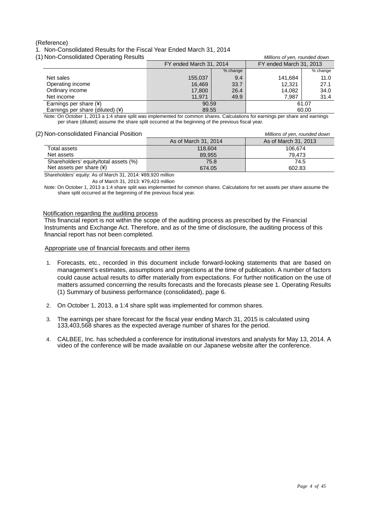### (Reference)

1. Non-Consolidated Results for the Fiscal Year Ended March 31, 2014

(1) Non-Consolidated Operating Results *Millions of yen, rounded down*

| Thorr-Corisonuated Operating Results | <u>MINIURIS OF VEH, TUUHUEU UUWH</u> |          |                         |          |  |  |
|--------------------------------------|--------------------------------------|----------|-------------------------|----------|--|--|
|                                      | FY ended March 31, 2014              |          | FY ended March 31, 2013 |          |  |  |
|                                      |                                      | % change |                         | % change |  |  |
| Net sales                            | 155.037                              | 9.4      | 141.684                 | 11.0     |  |  |
| Operating income                     | 16.469                               | 33.7     | 12.321                  | 27.1     |  |  |
| Ordinary income                      | 17,800                               | 26.4     | 14.082                  | 34.0     |  |  |
| Net income                           | 11.971                               | 49.9     | 7,987                   | 31.4     |  |  |
| Earnings per share (¥)               | 90.59                                |          |                         | 61.07    |  |  |
| Earnings per share (diluted) (¥)     | 89.55                                |          | 60.00                   |          |  |  |
|                                      |                                      |          |                         |          |  |  |

Note: On October 1, 2013 a 1:4 share split was implemented for common shares. Calculations for earnings per share and earnings per share (diluted) assume the share split occurred at the beginning of the previous fiscal year.

### (2) Non-consolidated Financial Position *Millions of yen, rounded down*

| <u>NULL-CUISUILLAIGU FIHAHCIAL FUSILIUH</u> | <i>MIIIIONS OF VEH, TOUHUEG GOWH</i> |                      |  |
|---------------------------------------------|--------------------------------------|----------------------|--|
|                                             | As of March 31, 2014                 | As of March 31, 2013 |  |
| Total assets                                | 118,604                              | 106.674              |  |
| Net assets                                  | 89.955                               | 79.473               |  |
| Shareholders' equity/total assets (%)       | 75.8                                 | 74.5                 |  |
| Net assets per share $(*)$                  | 674.05                               | 602.83               |  |

Shareholders' equity: As of March 31, 2014: ¥89,920 million

As of March 31, 2013: ¥79,423 million

Note: On October 1, 2013 a 1:4 share split was implemented for common shares. Calculations for net assets per share assume the share split occurred at the beginning of the previous fiscal year.

#### Notification regarding the auditing process

This financial report is not within the scope of the auditing process as prescribed by the Financial Instruments and Exchange Act. Therefore, and as of the time of disclosure, the auditing process of this financial report has not been completed.

#### Appropriate use of financial forecasts and other items

- 1. Forecasts, etc., recorded in this document include forward-looking statements that are based on management's estimates, assumptions and projections at the time of publication. A number of factors could cause actual results to differ materially from expectations. For further notification on the use of matters assumed concerning the results forecasts and the forecasts please see 1. Operating Results (1) Summary of business performance (consolidated), page 6.
- 2. On October 1, 2013, a 1:4 share split was implemented for common shares.
- 3. The earnings per share forecast for the fiscal year ending March 31, 2015 is calculated using 133,403,568 shares as the expected average number of shares for the period.
- 4. CALBEE, Inc. has scheduled a conference for institutional investors and analysts for May 13, 2014. A video of the conference will be made available on our Japanese website after the conference.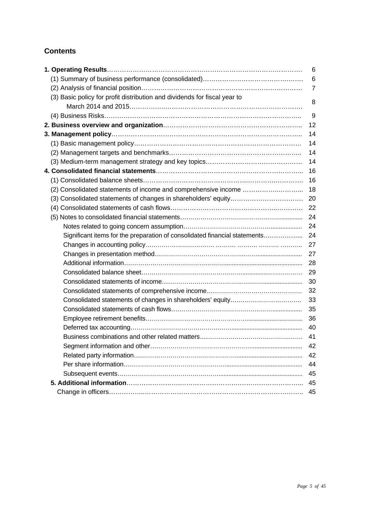### **Contents**

|                                                                            | 6              |
|----------------------------------------------------------------------------|----------------|
|                                                                            | 6              |
|                                                                            | $\overline{7}$ |
| (3) Basic policy for profit distribution and dividends for fiscal year to  | 8              |
|                                                                            |                |
|                                                                            | 9              |
|                                                                            | 12             |
|                                                                            | 14             |
|                                                                            | 14             |
|                                                                            | 14             |
|                                                                            | 14             |
|                                                                            | 16             |
|                                                                            | 16             |
|                                                                            | 18             |
|                                                                            | 20             |
|                                                                            | 22             |
|                                                                            | 24             |
|                                                                            | 24             |
| Significant items for the preparation of consolidated financial statements | 24             |
|                                                                            | 27             |
|                                                                            | 27             |
|                                                                            | 28             |
|                                                                            | 29             |
|                                                                            | 30             |
|                                                                            | 32             |
|                                                                            | 33             |
|                                                                            | 35             |
|                                                                            | 36             |
|                                                                            | 40             |
|                                                                            | 41             |
|                                                                            | 42             |
|                                                                            | 42             |
|                                                                            | 44             |
|                                                                            | 45             |
|                                                                            | 45             |
|                                                                            | 45             |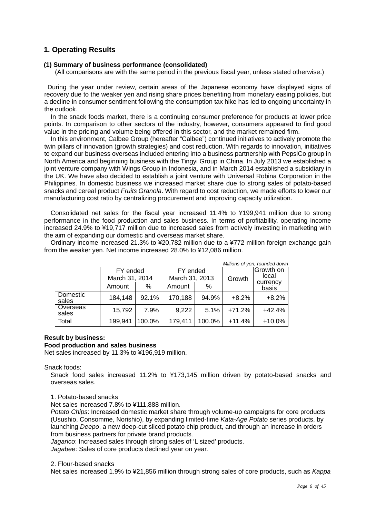### **1. Operating Results**

### **(1) Summary of business performance (consolidated)**

(All comparisons are with the same period in the previous fiscal year, unless stated otherwise.)

During the year under review, certain areas of the Japanese economy have displayed signs of recovery due to the weaker yen and rising share prices benefiting from monetary easing policies, but a decline in consumer sentiment following the consumption tax hike has led to ongoing uncertainty in the outlook.

In the snack foods market, there is a continuing consumer preference for products at lower price points. In comparison to other sectors of the industry, however, consumers appeared to find good value in the pricing and volume being offered in this sector, and the market remained firm.

In this environment, Calbee Group (hereafter "Calbee") continued initiatives to actively promote the twin pillars of innovation (growth strategies) and cost reduction. With regards to innovation, initiatives to expand our business overseas included entering into a business partnership with PepsiCo group in North America and beginning business with the Tingyi Group in China. In July 2013 we established a joint venture company with Wings Group in Indonesia, and in March 2014 established a subsidiary in the UK. We have also decided to establish a joint venture with Universal Robina Corporation in the Philippines. In domestic business we increased market share due to strong sales of potato-based snacks and cereal product *Fruits Granola*. With regard to cost reduction, we made efforts to lower our manufacturing cost ratio by centralizing procurement and improving capacity utilization.

Consolidated net sales for the fiscal year increased 11.4% to ¥199,941 million due to strong performance in the food production and sales business. In terms of profitability, operating income increased 24.9% to ¥19,717 million due to increased sales from actively investing in marketing with the aim of expanding our domestic and overseas market share.

Ordinary income increased 21.3% to ¥20,782 million due to a ¥772 million foreign exchange gain from the weaker yen. Net income increased 28.0% to ¥12,086 million.

|                   |                            |        |                            |        |          | Millions of yen, rounded down |
|-------------------|----------------------------|--------|----------------------------|--------|----------|-------------------------------|
|                   | FY ended<br>March 31, 2014 |        | FY ended<br>March 31, 2013 |        | Growth   | Growth on<br>local            |
|                   | Amount                     | ℅      | Amount                     | $\%$   |          | currency<br>basis             |
| Domestic<br>sales | 184,148                    | 92.1%  | 170,188                    | 94.9%  | $+8.2%$  | $+8.2%$                       |
| Overseas<br>sales | 15,792                     | 7.9%   | 9,222                      | 5.1%   | $+71.2%$ | $+42.4%$                      |
| Total             | 199,941                    | 100.0% | 179,411                    | 100.0% | $+11.4%$ | $+10.0%$                      |

### **Result by business:**

### **Food production and sales business**

Net sales increased by 11.3% to ¥196,919 million.

Snack foods:

Snack food sales increased 11.2% to ¥173,145 million driven by potato-based snacks and overseas sales.

1. Potato-based snacks

Net sales increased 7.8% to ¥111,888 million.

*Potato Chips*: Increased domestic market share through volume-up campaigns for core products (Usushio, Consomme, Norishio), by expanding limited-time *Kata-Age Potato* series products, by launching *Deepo*, a new deep-cut sliced potato chip product, and through an increase in orders from business partners for private brand products.

*Jagarico*: Increased sales through strong sales of 'L sized' products.

*Jagabee*: Sales of core products declined year on year.

2. Flour-based snacks

Net sales increased 1.9% to ¥21,856 million through strong sales of core products, such as *Kappa*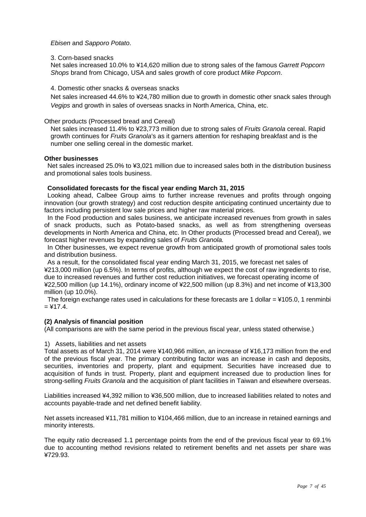*Ebisen* and *Sapporo Potato*.

### 3. Corn-based snacks

Net sales increased 10.0% to ¥14,620 million due to strong sales of the famous *Garrett Popcorn Shops* brand from Chicago, USA and sales growth of core product *Mike Popcorn*.

### 4. Domestic other snacks & overseas snacks

Net sales increased 44.6% to ¥24,780 million due to growth in domestic other snack sales through *Vegips* and growth in sales of overseas snacks in North America, China, etc.

### Other products (Processed bread and Cereal)

Net sales increased 11.4% to ¥23,773 million due to strong sales of *Fruits Granola* cereal. Rapid growth continues for *Fruits Granola*'s as it garners attention for reshaping breakfast and is the number one selling cereal in the domestic market.

### **Other businesses**

Net sales increased 25.0% to ¥3.021 million due to increased sales both in the distribution business and promotional sales tools business.

### **Consolidated forecasts for the fiscal year ending March 31, 2015**

Looking ahead, Calbee Group aims to further increase revenues and profits through ongoing innovation (our growth strategy) and cost reduction despite anticipating continued uncertainty due to factors including persistent low sale prices and higher raw material prices.

In the Food production and sales business, we anticipate increased revenues from growth in sales of snack products, such as Potato-based snacks, as well as from strengthening overseas developments in North America and China, etc. In Other products (Processed bread and Cereal), we forecast higher revenues by expanding sales of *Fruits Granola.* 

In Other businesses, we expect revenue growth from anticipated growth of promotional sales tools and distribution business.

As a result, for the consolidated fiscal year ending March 31, 2015, we forecast net sales of ¥213,000 million (up 6.5%). In terms of profits, although we expect the cost of raw ingredients to rise, due to increased revenues and further cost reduction initiatives, we forecast operating income of ¥22,500 million (up 14.1%), ordinary income of ¥22,500 million (up 8.3%) and net income of ¥13,300 million (up 10.0%).

The foreign exchange rates used in calculations for these forecasts are 1 dollar  $=$  ¥105.0, 1 renminbi  $=$  ¥17.4.

### **(2) Analysis of financial position**

(All comparisons are with the same period in the previous fiscal year, unless stated otherwise.)

#### 1) Assets, liabilities and net assets

Total assets as of March 31, 2014 were ¥140,966 million, an increase of ¥16,173 million from the end of the previous fiscal year. The primary contributing factor was an increase in cash and deposits, securities, inventories and property, plant and equipment. Securities have increased due to acquisition of funds in trust. Property, plant and equipment increased due to production lines for strong-selling *Fruits Granola* and the acquisition of plant facilities in Taiwan and elsewhere overseas.

Liabilities increased ¥4,392 million to ¥36,500 million, due to increased liabilities related to notes and accounts payable-trade and net defined benefit liability.

Net assets increased ¥11,781 million to ¥104,466 million, due to an increase in retained earnings and minority interests.

The equity ratio decreased 1.1 percentage points from the end of the previous fiscal year to 69.1% due to accounting method revisions related to retirement benefits and net assets per share was ¥729.93.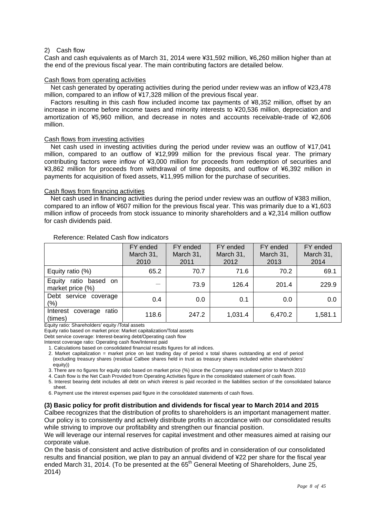### 2) Cash flow

Cash and cash equivalents as of March 31, 2014 were ¥31,592 million, ¥6,260 million higher than at the end of the previous fiscal year. The main contributing factors are detailed below.

#### Cash flows from operating activities

Net cash generated by operating activities during the period under review was an inflow of ¥23,478 million, compared to an inflow of ¥17,328 million of the previous fiscal year.

Factors resulting in this cash flow included income tax payments of ¥8,352 million, offset by an increase in income before income taxes and minority interests to ¥20,536 million, depreciation and amortization of ¥5,960 million, and decrease in notes and accounts receivable-trade of ¥2,606 million.

#### Cash flows from investing activities

Net cash used in investing activities during the period under review was an outflow of ¥17,041 million, compared to an outflow of ¥12,999 million for the previous fiscal year. The primary contributing factors were inflow of ¥3,000 million for proceeds from redemption of securities and ¥3,862 million for proceeds from withdrawal of time deposits, and outflow of ¥6,392 million in payments for acquisition of fixed assets, ¥11,995 million for the purchase of securities.

#### Cash flows from financing activities

Net cash used in financing activities during the period under review was an outflow of ¥383 million, compared to an inflow of ¥607 million for the previous fiscal year. This was primarily due to a ¥1,603 million inflow of proceeds from stock issuance to minority shareholders and a ¥2,314 million outflow for cash dividends paid.

|                                                 | FY ended<br>March 31,<br>2010 | FY ended<br>March 31,<br>2011 | FY ended<br>March 31,<br>2012 | FY ended<br>March 31,<br>2013 | FY ended<br>March 31,<br>2014 |
|-------------------------------------------------|-------------------------------|-------------------------------|-------------------------------|-------------------------------|-------------------------------|
| Equity ratio (%)                                | 65.2                          | 70.7                          | 71.6                          | 70.2                          | 69.1                          |
| Equity<br>ratio based<br>on<br>market price (%) |                               | 73.9                          | 126.4                         | 201.4                         | 229.9                         |
| service coverage<br>Debt<br>(%)                 | 0.4                           | 0.0                           | 0.1                           | 0.0                           | 0.0                           |
| ratio<br>Interest<br>coverage<br>(times)        | 118.6                         | 247.2                         | 1,031.4                       | 6,470.2                       | 1,581.1                       |

#### Reference: Related Cash flow indicators

Equity ratio: Shareholders' equity /Total assets

Equity ratio based on market price: Market capitalization/Total assets

Debt service coverage: Interest-bearing debt/Operating cash flow

Interest coverage ratio: Operating cash flow/Interest paid

1. Calculations based on consolidated financial results figures for all indices.

2. Market capitalization = market price on last trading day of period x total shares outstanding at end of period (excluding treasury shares (residual Calbee shares held in trust as treasury shares included within shareholders' equity))

3. There are no figures for equity ratio based on market price (%) since the Company was unlisted prior to March 2010

4. Cash flow is the Net Cash Provided from Operating Activities figure in the consolidated statement of cash flows.

5. Interest bearing debt includes all debt on which interest is paid recorded in the liabilities section of the consolidated balance sheet.

6. Payment use the interest expenses paid figure in the consolidated statements of cash flows.

### **(3) Basic policy for profit distribution and dividends for fiscal year to March 2014 and 2015**

Calbee recognizes that the distribution of profits to shareholders is an important management matter. Our policy is to consistently and actively distribute profits in accordance with our consolidated results while striving to improve our profitability and strengthen our financial position.

We will leverage our internal reserves for capital investment and other measures aimed at raising our corporate value.

On the basis of consistent and active distribution of profits and in consideration of our consolidated results and financial position, we plan to pay an annual dividend of ¥22 per share for the fiscal year ended March 31, 2014. (To be presented at the 65<sup>th</sup> General Meeting of Shareholders, June 25, 2014)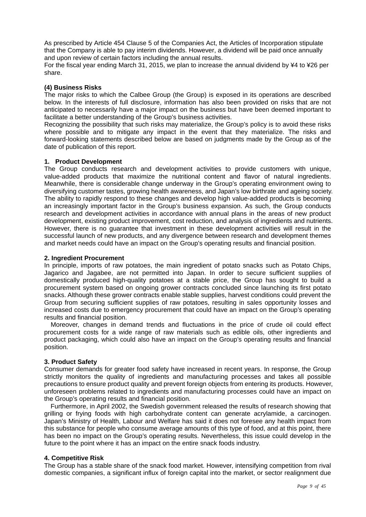As prescribed by Article 454 Clause 5 of the Companies Act, the Articles of Incorporation stipulate that the Company is able to pay interim dividends. However, a dividend will be paid once annually and upon review of certain factors including the annual results.

For the fiscal year ending March 31, 2015, we plan to increase the annual dividend by ¥4 to ¥26 per share.

### **(4) Business Risks**

The major risks to which the Calbee Group (the Group) is exposed in its operations are described below. In the interests of full disclosure, information has also been provided on risks that are not anticipated to necessarily have a major impact on the business but have been deemed important to facilitate a better understanding of the Group's business activities.

Recognizing the possibility that such risks may materialize, the Group's policy is to avoid these risks where possible and to mitigate any impact in the event that they materialize. The risks and forward-looking statements described below are based on judgments made by the Group as of the date of publication of this report.

### **1. Product Development**

The Group conducts research and development activities to provide customers with unique, value-added products that maximize the nutritional content and flavor of natural ingredients. Meanwhile, there is considerable change underway in the Group's operating environment owing to diversifying customer tastes, growing health awareness, and Japan's low birthrate and ageing society. The ability to rapidly respond to these changes and develop high value-added products is becoming an increasingly important factor in the Group's business expansion. As such, the Group conducts research and development activities in accordance with annual plans in the areas of new product development, existing product improvement, cost reduction, and analysis of ingredients and nutrients. However, there is no guarantee that investment in these development activities will result in the successful launch of new products, and any divergence between research and development themes and market needs could have an impact on the Group's operating results and financial position.

### **2. Ingredient Procurement**

In principle, imports of raw potatoes, the main ingredient of potato snacks such as Potato Chips, Jagarico and Jagabee, are not permitted into Japan. In order to secure sufficient supplies of domestically produced high-quality potatoes at a stable price, the Group has sought to build a procurement system based on ongoing grower contracts concluded since launching its first potato snacks. Although these grower contracts enable stable supplies, harvest conditions could prevent the Group from securing sufficient supplies of raw potatoes, resulting in sales opportunity losses and increased costs due to emergency procurement that could have an impact on the Group's operating results and financial position.

 Moreover, changes in demand trends and fluctuations in the price of crude oil could effect procurement costs for a wide range of raw materials such as edible oils, other ingredients and product packaging, which could also have an impact on the Group's operating results and financial position.

### **3. Product Safety**

Consumer demands for greater food safety have increased in recent years. In response, the Group strictly monitors the quality of ingredients and manufacturing processes and takes all possible precautions to ensure product quality and prevent foreign objects from entering its products. However, unforeseen problems related to ingredients and manufacturing processes could have an impact on the Group's operating results and financial position.

Furthermore, in April 2002, the Swedish government released the results of research showing that grilling or frying foods with high carbohydrate content can generate acrylamide, a carcinogen. Japan's Ministry of Health, Labour and Welfare has said it does not foresee any health impact from this substance for people who consume average amounts of this type of food, and at this point, there has been no impact on the Group's operating results. Nevertheless, this issue could develop in the future to the point where it has an impact on the entire snack foods industry.

### **4. Competitive Risk**

The Group has a stable share of the snack food market. However, intensifying competition from rival domestic companies, a significant influx of foreign capital into the market, or sector realignment due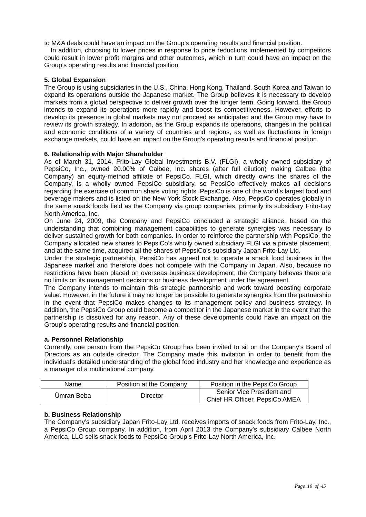to M&A deals could have an impact on the Group's operating results and financial position.

In addition, choosing to lower prices in response to price reductions implemented by competitors could result in lower profit margins and other outcomes, which in turn could have an impact on the Group's operating results and financial position.

### **5. Global Expansion**

The Group is using subsidiaries in the U.S., China, Hong Kong, Thailand, South Korea and Taiwan to expand its operations outside the Japanese market. The Group believes it is necessary to develop markets from a global perspective to deliver growth over the longer term. Going forward, the Group intends to expand its operations more rapidly and boost its competitiveness. However, efforts to develop its presence in global markets may not proceed as anticipated and the Group may have to review its growth strategy. In addition, as the Group expands its operations, changes in the political and economic conditions of a variety of countries and regions, as well as fluctuations in foreign exchange markets, could have an impact on the Group's operating results and financial position.

### **6. Relationship with Major Shareholder**

As of March 31, 2014, Frito-Lay Global Investments B.V. (FLGI), a wholly owned subsidiary of PepsiCo, Inc., owned 20.00% of Calbee, Inc. shares (after full dilution) making Calbee (the Company) an equity-method affiliate of PepsiCo. FLGI, which directly owns the shares of the Company, is a wholly owned PepsiCo subsidiary, so PepsiCo effectively makes all decisions regarding the exercise of common share voting rights. PepsiCo is one of the world's largest food and beverage makers and is listed on the New York Stock Exchange. Also, PepsiCo operates globally in the same snack foods field as the Company via group companies, primarily its subsidiary Frito-Lay North America, Inc.

On June 24, 2009, the Company and PepsiCo concluded a strategic alliance, based on the understanding that combining management capabilities to generate synergies was necessary to deliver sustained growth for both companies. In order to reinforce the partnership with PepsiCo, the Company allocated new shares to PepsiCo's wholly owned subsidiary FLGI via a private placement, and at the same time, acquired all the shares of PepsiCo's subsidiary Japan Frito-Lay Ltd.

Under the strategic partnership, PepsiCo has agreed not to operate a snack food business in the Japanese market and therefore does not compete with the Company in Japan. Also, because no restrictions have been placed on overseas business development, the Company believes there are no limits on its management decisions or business development under the agreement.

The Company intends to maintain this strategic partnership and work toward boosting corporate value. However, in the future it may no longer be possible to generate synergies from the partnership in the event that PepsiCo makes changes to its management policy and business strategy. In addition, the PepsiCo Group could become a competitor in the Japanese market in the event that the partnership is dissolved for any reason. Any of these developments could have an impact on the Group's operating results and financial position.

### **a. Personnel Relationship**

Currently, one person from the PepsiCo Group has been invited to sit on the Company's Board of Directors as an outside director. The Company made this invitation in order to benefit from the individual's detailed understanding of the global food industry and her knowledge and experience as a manager of a multinational company.

| Name       | Position at the Company | Position in the PepsiCo Group                               |
|------------|-------------------------|-------------------------------------------------------------|
| Umran Beba | Director                | Senior Vice President and<br>Chief HR Officer, PepsiCo AMEA |

### **b. Business Relationship**

The Company's subsidiary Japan Frito-Lay Ltd. receives imports of snack foods from Frito-Lay, Inc., a PepsiCo Group company. In addition, from April 2013 the Company's subsidiary Calbee North America, LLC sells snack foods to PepsiCo Group's Frito-Lay North America, Inc.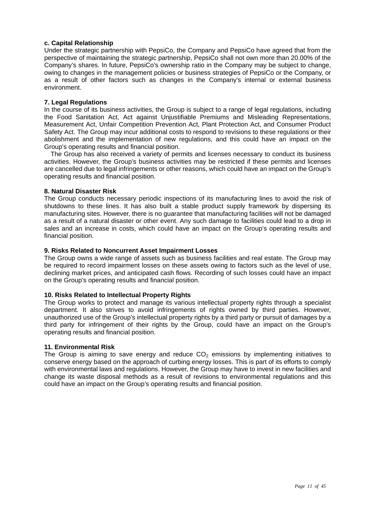### **c. Capital Relationship**

Under the strategic partnership with PepsiCo, the Company and PepsiCo have agreed that from the perspective of maintaining the strategic partnership, PepsiCo shall not own more than 20.00% of the Company's shares. In future, PepsiCo's ownership ratio in the Company may be subject to change, owing to changes in the management policies or business strategies of PepsiCo or the Company, or as a result of other factors such as changes in the Company's internal or external business environment.

### **7. Legal Regulations**

In the course of its business activities, the Group is subject to a range of legal regulations, including the Food Sanitation Act, Act against Unjustifiable Premiums and Misleading Representations, Measurement Act, Unfair Competition Prevention Act, Plant Protection Act, and Consumer Product Safety Act. The Group may incur additional costs to respond to revisions to these regulations or their abolishment and the implementation of new regulations, and this could have an impact on the Group's operating results and financial position.

The Group has also received a variety of permits and licenses necessary to conduct its business activities. However, the Group's business activities may be restricted if these permits and licenses are cancelled due to legal infringements or other reasons, which could have an impact on the Group's operating results and financial position.

### **8. Natural Disaster Risk**

The Group conducts necessary periodic inspections of its manufacturing lines to avoid the risk of shutdowns to these lines. It has also built a stable product supply framework by dispersing its manufacturing sites. However, there is no guarantee that manufacturing facilities will not be damaged as a result of a natural disaster or other event. Any such damage to facilities could lead to a drop in sales and an increase in costs, which could have an impact on the Group's operating results and financial position.

### **9. Risks Related to Noncurrent Asset Impairment Losses**

The Group owns a wide range of assets such as business facilities and real estate. The Group may be required to record impairment losses on these assets owing to factors such as the level of use, declining market prices, and anticipated cash flows. Recording of such losses could have an impact on the Group's operating results and financial position.

### **10. Risks Related to Intellectual Property Rights**

The Group works to protect and manage its various intellectual property rights through a specialist department. It also strives to avoid infringements of rights owned by third parties. However, unauthorized use of the Group's intellectual property rights by a third party or pursuit of damages by a third party for infringement of their rights by the Group, could have an impact on the Group's operating results and financial position.

### **11. Environmental Risk**

The Group is aiming to save energy and reduce  $CO<sub>2</sub>$  emissions by implementing initiatives to conserve energy based on the approach of curbing energy losses. This is part of its efforts to comply with environmental laws and regulations. However, the Group may have to invest in new facilities and change its waste disposal methods as a result of revisions to environmental regulations and this could have an impact on the Group's operating results and financial position.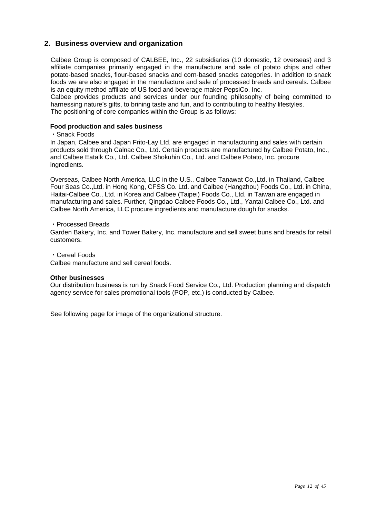### **2. Business overview and organization**

Calbee Group is composed of CALBEE, Inc., 22 subsidiaries (10 domestic, 12 overseas) and 3 affiliate companies primarily engaged in the manufacture and sale of potato chips and other potato-based snacks, flour-based snacks and corn-based snacks categories. In addition to snack foods we are also engaged in the manufacture and sale of processed breads and cereals. Calbee is an equity method affiliate of US food and beverage maker PepsiCo, Inc.

Calbee provides products and services under our founding philosophy of being committed to harnessing nature's gifts, to brining taste and fun, and to contributing to healthy lifestyles. The positioning of core companies within the Group is as follows:

### **Food production and sales business**

#### ・Snack Foods

In Japan, Calbee and Japan Frito-Lay Ltd. are engaged in manufacturing and sales with certain products sold through Calnac Co., Ltd. Certain products are manufactured by Calbee Potato, Inc., and Calbee Eatalk Co., Ltd. Calbee Shokuhin Co., Ltd. and Calbee Potato, Inc. procure ingredients.

Overseas, Calbee North America, LLC in the U.S., Calbee Tanawat Co.,Ltd. in Thailand, Calbee Four Seas Co.,Ltd. in Hong Kong, CFSS Co. Ltd. and Calbee (Hangzhou) Foods Co., Ltd. in China, Haitai-Calbee Co., Ltd. in Korea and Calbee (Taipei) Foods Co., Ltd. in Taiwan are engaged in manufacturing and sales. Further, Qingdao Calbee Foods Co., Ltd., Yantai Calbee Co., Ltd. and Calbee North America, LLC procure ingredients and manufacture dough for snacks.

・Processed Breads

Garden Bakery, Inc. and Tower Bakery, Inc. manufacture and sell sweet buns and breads for retail customers.

・Cereal Foods

Calbee manufacture and sell cereal foods.

#### **Other businesses**

Our distribution business is run by Snack Food Service Co., Ltd. Production planning and dispatch agency service for sales promotional tools (POP, etc.) is conducted by Calbee.

See following page for image of the organizational structure.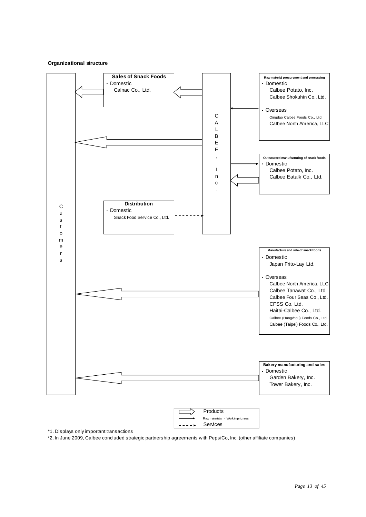#### **Organizational structure**



\*1. Displays only important transactions

\*2. In June 2009, Calbee concluded strategic partnership agreements with PepsiCo, Inc. (other affiliate companies)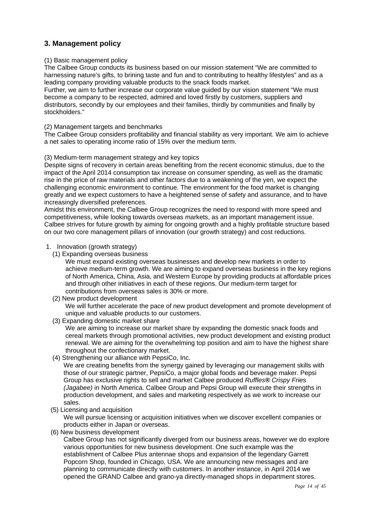### **3. Management policy**

### (1) Basic management policy

The Calbee Group conducts its business based on our mission statement "We are committed to harnessing nature's gifts, to brining taste and fun and to contributing to healthy lifestyles" and as a leading company providing valuable products to the snack foods market.

Further, we aim to further increase our corporate value guided by our vision statement "We must become a company to be respected, admired and loved firstly by customers, suppliers and distributors, secondly by our employees and their families, thirdly by communities and finally by stockholders."

### (2) Management targets and benchmarks

The Calbee Group considers profitability and financial stability as very important. We aim to achieve a net sales to operating income ratio of 15% over the medium term.

#### (3) Medium-term management strategy and key topics

Despite signs of recovery in certain areas benefiting from the recent economic stimulus, due to the impact of the April 2014 consumption tax increase on consumer spending, as well as the dramatic rise in the price of raw materials and other factors due to a weakening of the yen, we expect the challenging economic environment to continue. The environment for the food market is changing greatly and we expect customers to have a heightened sense of safety and assurance, and to have increasingly diversified preferences.

Amidst this environment, the Calbee Group recognizes the need to respond with more speed and competitiveness, while looking towards overseas markets, as an important management issue. Calbee strives for future growth by aiming for ongoing growth and a highly profitable structure based on our two core management pillars of innovation (our growth strategy) and cost reductions.

### 1. Innovation (growth strategy)

(1) Expanding overseas business

We must expand existing overseas businesses and develop new markets in order to achieve medium-term growth. We are aiming to expand overseas business in the key regions of North America, China, Asia, and Western Europe by providing products at affordable prices and through other initiatives in each of these regions. Our medium-term target for contributions from overseas sales is 30% or more.

(2) New product development

We will further accelerate the pace of new product development and promote development of unique and valuable products to our customers.

(3) Expanding domestic market share

We are aiming to increase our market share by expanding the domestic snack foods and cereal markets through promotional activities, new product development and existing product renewal. We are aiming for the overwhelming top position and aim to have the highest share throughout the confectionary market.

(4) Strengthening our alliance with PepsiCo, Inc.

We are creating benefits from the synergy gained by leveraging our management skills with those of our strategic partner, PepsiCo, a major global foods and beverage maker. Pepsi Group has exclusive rights to sell and market Calbee produced *Ruffles® Crispy Frie*s *(Jagabee)* in North America. Calbee Group and Pepsi Group will execute their strengths in production development, and sales and marketing respectively as we work to increase our sales.

(5) Licensing and acquisition

 We will pursue licensing or acquisition initiatives when we discover excellent companies or products either in Japan or overseas.

(6) New business development

 Calbee Group has not significantly diverged from our business areas, however we do explore various opportunities for new business development. One such example was the establishment of Calbee Plus antennae shops and expansion of the legendary Garrett Popcorn Shop, founded in Chicago, USA. We are announcing new messages and are planning to communicate directly with customers. In another instance, in April 2014 we opened the GRAND Calbee and grano-ya directly-managed shops in department stores.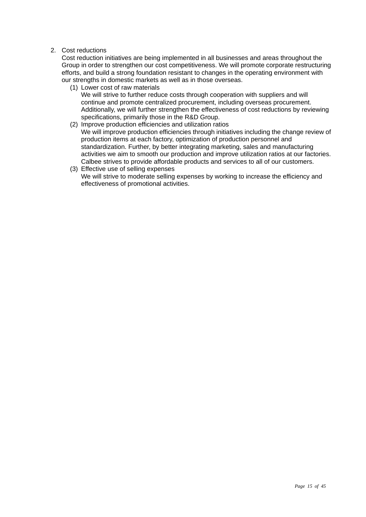### 2. Cost reductions

Cost reduction initiatives are being implemented in all businesses and areas throughout the Group in order to strengthen our cost competitiveness. We will promote corporate restructuring efforts, and build a strong foundation resistant to changes in the operating environment with our strengths in domestic markets as well as in those overseas.

(1) Lower cost of raw materials

We will strive to further reduce costs through cooperation with suppliers and will continue and promote centralized procurement, including overseas procurement. Additionally, we will further strengthen the effectiveness of cost reductions by reviewing specifications, primarily those in the R&D Group.

- (2) Improve production efficiencies and utilization ratios We will improve production efficiencies through initiatives including the change review of production items at each factory, optimization of production personnel and standardization. Further, by better integrating marketing, sales and manufacturing activities we aim to smooth our production and improve utilization ratios at our factories. Calbee strives to provide affordable products and services to all of our customers.
- (3) Effective use of selling expenses We will strive to moderate selling expenses by working to increase the efficiency and effectiveness of promotional activities.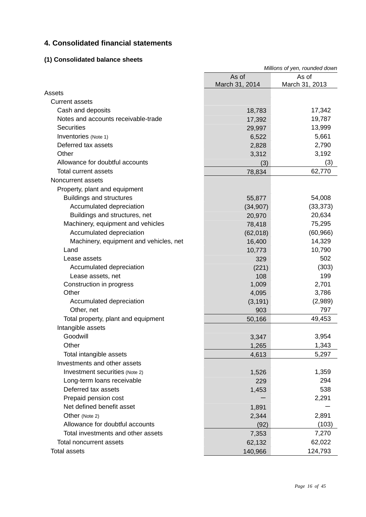### **4. Consolidated financial statements**

### **(1) Consolidated balance sheets**

|                                        | Millions of yen, rounded down |                         |  |
|----------------------------------------|-------------------------------|-------------------------|--|
|                                        | As of<br>March 31, 2014       | As of<br>March 31, 2013 |  |
| Assets                                 |                               |                         |  |
| <b>Current assets</b>                  |                               |                         |  |
| Cash and deposits                      | 18,783                        | 17,342                  |  |
| Notes and accounts receivable-trade    | 17,392                        | 19,787                  |  |
| <b>Securities</b>                      | 29,997                        | 13,999                  |  |
| Inventories (Note 1)                   | 6,522                         | 5,661                   |  |
| Deferred tax assets                    | 2,828                         | 2,790                   |  |
| Other                                  | 3,312                         | 3,192                   |  |
| Allowance for doubtful accounts        | (3)                           | (3)                     |  |
| <b>Total current assets</b>            | 78,834                        | 62,770                  |  |
| Noncurrent assets                      |                               |                         |  |
| Property, plant and equipment          |                               |                         |  |
| <b>Buildings and structures</b>        | 55,877                        | 54,008                  |  |
| Accumulated depreciation               | (34, 907)                     | (33, 373)               |  |
| Buildings and structures, net          | 20,970                        | 20,634                  |  |
| Machinery, equipment and vehicles      | 78,418                        | 75,295                  |  |
| Accumulated depreciation               | (62,018)                      | (60, 966)               |  |
| Machinery, equipment and vehicles, net | 16,400                        | 14,329                  |  |
| Land                                   | 10,773                        | 10,790                  |  |
| Lease assets                           | 329                           | 502                     |  |
| Accumulated depreciation               | (221)                         | (303)                   |  |
| Lease assets, net                      | 108                           | 199                     |  |
| Construction in progress               | 1,009                         | 2,701                   |  |
| Other                                  | 4,095                         | 3,786                   |  |
| Accumulated depreciation               | (3, 191)                      | (2,989)                 |  |
| Other, net                             | 903                           | 797                     |  |
| Total property, plant and equipment    | 50,166                        | 49,453                  |  |
| Intangible assets                      |                               |                         |  |
| Goodwill                               | 3,347                         | 3,954                   |  |
| Other                                  | 1,265                         | 1,343                   |  |
| Total intangible assets                | 4,613                         | 5,297                   |  |
| Investments and other assets           |                               |                         |  |
| Investment securities (Note 2)         | 1,526                         | 1,359                   |  |
| Long-term loans receivable             | 229                           | 294                     |  |
| Deferred tax assets                    | 1,453                         | 538                     |  |
| Prepaid pension cost                   |                               | 2,291                   |  |
| Net defined benefit asset              | 1,891                         |                         |  |
| Other (Note 2)                         | 2,344                         | 2,891                   |  |
| Allowance for doubtful accounts        | (92)                          | (103)                   |  |
| Total investments and other assets     | 7,353                         | 7,270                   |  |
| <b>Total noncurrent assets</b>         | 62,132                        | 62,022                  |  |
| <b>Total assets</b>                    | 140,966                       | 124,793                 |  |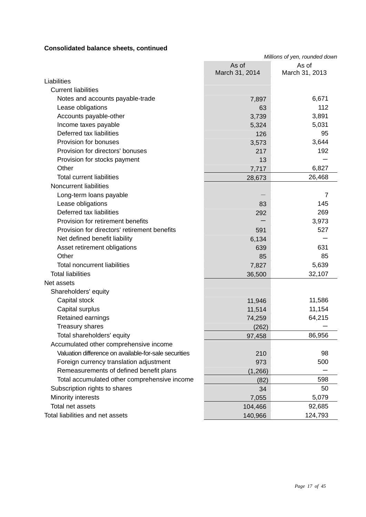### **Consolidated balance sheets, continued**

|                                                       | Millions of yen, rounded down |                         |  |
|-------------------------------------------------------|-------------------------------|-------------------------|--|
|                                                       | As of<br>March 31, 2014       | As of<br>March 31, 2013 |  |
| Liabilities                                           |                               |                         |  |
| <b>Current liabilities</b>                            |                               |                         |  |
| Notes and accounts payable-trade                      | 7,897                         | 6,671                   |  |
| Lease obligations                                     | 63                            | 112                     |  |
| Accounts payable-other                                | 3,739                         | 3,891                   |  |
| Income taxes payable                                  | 5,324                         | 5,031                   |  |
| Deferred tax liabilities                              | 126                           | 95                      |  |
| Provision for bonuses                                 | 3,573                         | 3,644                   |  |
| Provision for directors' bonuses                      | 217                           | 192                     |  |
| Provision for stocks payment                          | 13                            |                         |  |
| Other                                                 | 7,717                         | 6,827                   |  |
| <b>Total current liabilities</b>                      | 28,673                        | 26,468                  |  |
| <b>Noncurrent liabilities</b>                         |                               |                         |  |
| Long-term loans payable                               |                               | 7                       |  |
| Lease obligations                                     | 83                            | 145                     |  |
| Deferred tax liabilities                              | 292                           | 269                     |  |
| Provision for retirement benefits                     |                               | 3,973                   |  |
| Provision for directors' retirement benefits          | 591                           | 527                     |  |
| Net defined benefit liability                         | 6,134                         |                         |  |
| Asset retirement obligations                          | 639                           | 631                     |  |
| Other                                                 | 85                            | 85                      |  |
| <b>Total noncurrent liabilities</b>                   | 7,827                         | 5,639                   |  |
| <b>Total liabilities</b>                              | 36,500                        | 32,107                  |  |
| Net assets                                            |                               |                         |  |
| Shareholders' equity                                  |                               |                         |  |
| Capital stock                                         | 11,946                        | 11,586                  |  |
| Capital surplus                                       | 11,514                        | 11,154                  |  |
| Retained earnings                                     | 74,259                        | 64,215                  |  |
| Treasury shares                                       | (262)                         |                         |  |
| Total shareholders' equity                            | 97,458                        | 86,956                  |  |
| Accumulated other comprehensive income                |                               |                         |  |
| Valuation difference on available-for-sale securities | 210                           | 98                      |  |
| Foreign currency translation adjustment               | 973                           | 500                     |  |
| Remeasurements of defined benefit plans               | (1, 266)                      |                         |  |
| Total accumulated other comprehensive income          | (82)                          | 598                     |  |
| Subscription rights to shares                         | 34                            | 50                      |  |
| Minority interests                                    | 7,055                         | 5,079                   |  |
| Total net assets                                      | 104,466                       | 92,685                  |  |
| Total liabilities and net assets                      | 140,966                       | 124,793                 |  |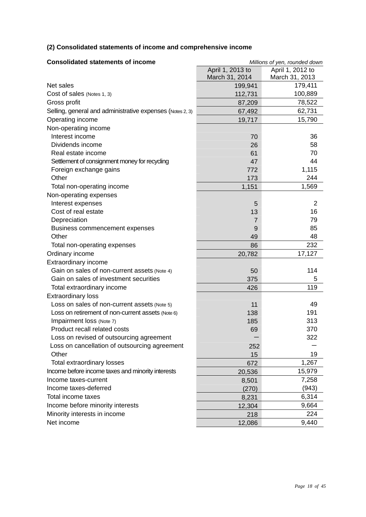### **(2) Consolidated statements of income and comprehensive income**

| <b>Consolidated statements of income</b>                  | Millions of yen, rounded down |                  |  |
|-----------------------------------------------------------|-------------------------------|------------------|--|
|                                                           | April 1, 2013 to              | April 1, 2012 to |  |
|                                                           | March 31, 2014                | March 31, 2013   |  |
| Net sales                                                 | 199,941                       | 179,411          |  |
| Cost of sales (Notes 1, 3)                                | 112,731                       | 100,889          |  |
| Gross profit                                              | 87,209                        | 78,522           |  |
| Selling, general and administrative expenses (Notes 2, 3) | 67,492                        | 62,731           |  |
| Operating income                                          | 19,717                        | 15,790           |  |
| Non-operating income                                      |                               |                  |  |
| Interest income                                           | 70                            | 36               |  |
| Dividends income                                          | 26                            | 58               |  |
| Real estate income                                        | 61                            | 70               |  |
| Settlement of consignment money for recycling             | 47                            | 44               |  |
| Foreign exchange gains                                    | 772                           | 1,115            |  |
| Other                                                     | 173                           | 244              |  |
| Total non-operating income                                | 1,151                         | 1,569            |  |
| Non-operating expenses                                    |                               |                  |  |
| Interest expenses                                         | 5                             | $\overline{2}$   |  |
| Cost of real estate                                       | 13                            | 16               |  |
| Depreciation                                              | $\overline{7}$                | 79               |  |
| Business commencement expenses                            | 9                             | 85               |  |
| Other                                                     | 49                            | 48               |  |
| Total non-operating expenses                              | 86                            | 232              |  |
| Ordinary income                                           | 20,782                        | 17,127           |  |
| Extraordinary income                                      |                               |                  |  |
| Gain on sales of non-current assets (Note 4)              | 50                            | 114              |  |
| Gain on sales of investment securities                    | 375                           | 5                |  |
| Total extraordinary income                                | 426                           | 119              |  |
| <b>Extraordinary loss</b>                                 |                               |                  |  |
| Loss on sales of non-current assets (Note 5)              | 11                            | 49               |  |
| Loss on retirement of non-current assets (Note 6)         | 138                           | 191              |  |
| Impairment loss (Note 7)                                  | 185                           | 313              |  |
| Product recall related costs                              | 69                            | 370              |  |
| Loss on revised of outsourcing agreement                  |                               | 322              |  |
| Loss on cancellation of outsourcing agreement             | 252                           |                  |  |
| Other                                                     | 15                            | 19               |  |
| <b>Total extraordinary losses</b>                         | 672                           | 1,267            |  |
| Income before income taxes and minority interests         | 20,536                        | 15,979           |  |
| Income taxes-current                                      | 8,501                         | 7,258            |  |
| Income taxes-deferred                                     | (270)                         | (943)            |  |
| Total income taxes                                        | 8,231                         | 6,314            |  |
| Income before minority interests                          | 12,304                        | 9,664            |  |
| Minority interests in income                              | 218                           | 224              |  |
| Net income                                                | 12,086                        | 9,440            |  |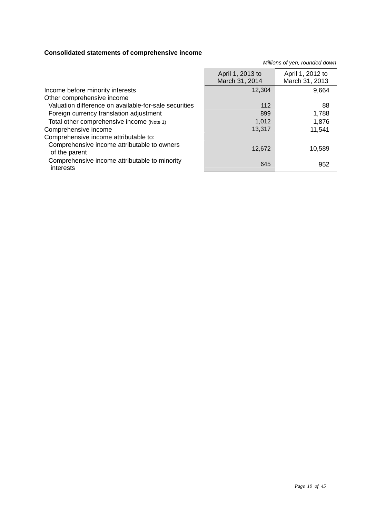### **Consolidated statements of comprehensive income**

|                                                              | April 1, 2013 to<br>March 31, 2014 | April 1, 2012 to<br>March 31, 2013 |
|--------------------------------------------------------------|------------------------------------|------------------------------------|
| Income before minority interests                             | 12,304                             | 9,664                              |
| Other comprehensive income                                   |                                    |                                    |
| Valuation difference on available-for-sale securities        | 112                                | 88                                 |
| Foreign currency translation adjustment                      | 899                                | 1,788                              |
| Total other comprehensive income (Note 1)                    | 1,012                              | 1,876                              |
| Comprehensive income                                         | 13,317                             | 11,541                             |
| Comprehensive income attributable to:                        |                                    |                                    |
| Comprehensive income attributable to owners<br>of the parent | 12,672                             | 10,589                             |
| Comprehensive income attributable to minority<br>interests   | 645                                | 952                                |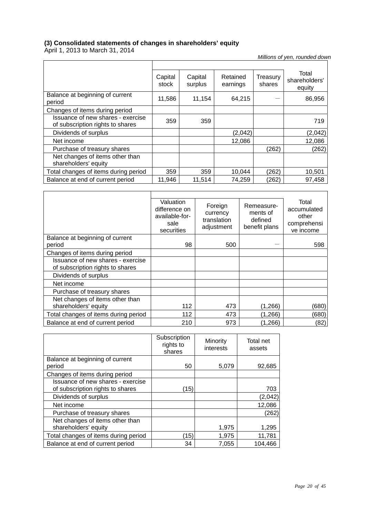### **(3) Consolidated statements of changes in shareholders' equity**

April 1, 2013 to March 31, 2014

|                                                                       | Capital<br>stock | Capital<br>surplus | Retained<br>earnings | Treasury<br>shares | Total<br>shareholders'<br>equity |
|-----------------------------------------------------------------------|------------------|--------------------|----------------------|--------------------|----------------------------------|
| Balance at beginning of current<br>period                             | 11,586           | 11,154             | 64,215               |                    | 86,956                           |
| Changes of items during period                                        |                  |                    |                      |                    |                                  |
| Issuance of new shares - exercise<br>of subscription rights to shares | 359              | 359                |                      |                    | 719                              |
| Dividends of surplus                                                  |                  |                    | (2,042)              |                    | (2,042)                          |
| Net income                                                            |                  |                    | 12,086               |                    | 12,086                           |
| Purchase of treasury shares                                           |                  |                    |                      | (262)              | (262)                            |
| Net changes of items other than<br>shareholders' equity               |                  |                    |                      |                    |                                  |
| Total changes of items during period                                  | 359              | 359                | 10,044               | (262)              | 10,501                           |
| Balance at end of current period                                      | 11,946           | 11,514             | 74,259               | (262)              | 97,458                           |

|                                                                       | Valuation<br>difference on<br>available-for-<br>sale<br>securities | Foreign<br>currency<br>translation<br>adjustment | Remeasure-<br>ments of<br>defined<br>benefit plans | Total<br>accumulated<br>other<br>comprehensi<br>ve income |
|-----------------------------------------------------------------------|--------------------------------------------------------------------|--------------------------------------------------|----------------------------------------------------|-----------------------------------------------------------|
| Balance at beginning of current                                       |                                                                    |                                                  |                                                    |                                                           |
| period                                                                | 98                                                                 | 500                                              |                                                    | 598                                                       |
| Changes of items during period                                        |                                                                    |                                                  |                                                    |                                                           |
| Issuance of new shares - exercise<br>of subscription rights to shares |                                                                    |                                                  |                                                    |                                                           |
| Dividends of surplus                                                  |                                                                    |                                                  |                                                    |                                                           |
| Net income                                                            |                                                                    |                                                  |                                                    |                                                           |
| Purchase of treasury shares                                           |                                                                    |                                                  |                                                    |                                                           |
| Net changes of items other than                                       |                                                                    |                                                  |                                                    |                                                           |
| shareholders' equity                                                  | 112                                                                | 473                                              | (1,266)                                            | (680)                                                     |
| Total changes of items during period                                  | 112                                                                | 473                                              | (1,266)                                            | (680)                                                     |
| Balance at end of current period                                      | 210                                                                | 973                                              | (1,266)                                            | (82)                                                      |

|                                      | Subscription<br>rights to<br>shares | Minority<br>interests | Total net<br>assets |
|--------------------------------------|-------------------------------------|-----------------------|---------------------|
| Balance at beginning of current      |                                     |                       |                     |
| period                               | 50                                  | 5,079                 | 92,685              |
| Changes of items during period       |                                     |                       |                     |
| Issuance of new shares - exercise    |                                     |                       |                     |
| of subscription rights to shares     | (15)                                |                       | 703                 |
| Dividends of surplus                 |                                     |                       | (2,042)             |
| Net income                           |                                     |                       | 12,086              |
| Purchase of treasury shares          |                                     |                       | (262)               |
| Net changes of items other than      |                                     |                       |                     |
| shareholders' equity                 |                                     | 1,975                 | 1,295               |
| Total changes of items during period | (15)                                | 1,975                 | 11,781              |
| Balance at end of current period     | 34                                  | 7,055                 | 104,466             |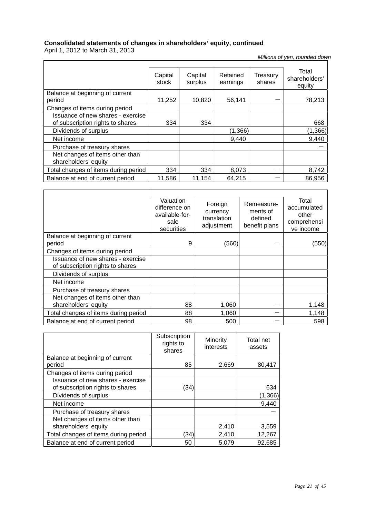### **Consolidated statements of changes in shareholders' equity, continued**

April 1, 2012 to March 31, 2013

ń

|                                                                       | Capital<br>stock | Capital<br>surplus | Retained<br>earnings | Treasurv<br>shares | Total<br>shareholders'<br>equity |
|-----------------------------------------------------------------------|------------------|--------------------|----------------------|--------------------|----------------------------------|
| Balance at beginning of current<br>period                             | 11,252           | 10,820             | 56,141               |                    | 78,213                           |
| Changes of items during period                                        |                  |                    |                      |                    |                                  |
| Issuance of new shares - exercise<br>of subscription rights to shares | 334              | 334                |                      |                    | 668                              |
| Dividends of surplus                                                  |                  |                    | (1,366)              |                    | (1, 366)                         |
| Net income                                                            |                  |                    | 9.440                |                    | 9,440                            |
| Purchase of treasury shares                                           |                  |                    |                      |                    |                                  |
| Net changes of items other than<br>shareholders' equity               |                  |                    |                      |                    |                                  |
| Total changes of items during period                                  | 334              | 334                | 8,073                |                    | 8,742                            |
| Balance at end of current period                                      | 11,586           | 11.154             | 64,215               |                    | 86,956                           |

|                                                                       | Valuation<br>difference on<br>available-for-<br>sale<br>securities | Foreign<br>currency<br>translation<br>adjustment | Remeasure-<br>ments of<br>defined<br>benefit plans | Total<br>accumulated<br>other<br>comprehensi<br>ve income |
|-----------------------------------------------------------------------|--------------------------------------------------------------------|--------------------------------------------------|----------------------------------------------------|-----------------------------------------------------------|
| Balance at beginning of current                                       | 9                                                                  | (560)                                            |                                                    |                                                           |
| period                                                                |                                                                    |                                                  |                                                    | (550)                                                     |
| Changes of items during period                                        |                                                                    |                                                  |                                                    |                                                           |
| Issuance of new shares - exercise<br>of subscription rights to shares |                                                                    |                                                  |                                                    |                                                           |
| Dividends of surplus                                                  |                                                                    |                                                  |                                                    |                                                           |
| Net income                                                            |                                                                    |                                                  |                                                    |                                                           |
| Purchase of treasury shares                                           |                                                                    |                                                  |                                                    |                                                           |
| Net changes of items other than                                       |                                                                    |                                                  |                                                    |                                                           |
| shareholders' equity                                                  | 88                                                                 | 1,060                                            |                                                    | 1,148                                                     |
| Total changes of items during period                                  | 88                                                                 | 1,060                                            |                                                    | 1,148                                                     |
| Balance at end of current period                                      | 98                                                                 | 500                                              |                                                    | 598                                                       |

|                                      | Subscription<br>rights to<br>shares | Minority<br>interests | Total net<br>assets |
|--------------------------------------|-------------------------------------|-----------------------|---------------------|
| Balance at beginning of current      |                                     |                       |                     |
| period                               | 85                                  | 2,669                 | 80,417              |
| Changes of items during period       |                                     |                       |                     |
| Issuance of new shares - exercise    |                                     |                       |                     |
| of subscription rights to shares     | (34)                                |                       | 634                 |
| Dividends of surplus                 |                                     |                       | (1, 366)            |
| Net income                           |                                     |                       | 9,440               |
| Purchase of treasury shares          |                                     |                       |                     |
| Net changes of items other than      |                                     |                       |                     |
| shareholders' equity                 |                                     | 2,410                 | 3,559               |
| Total changes of items during period | (34)                                | 2,410                 | 12,267              |
| Balance at end of current period     | 50                                  | 5,079                 | 92,685              |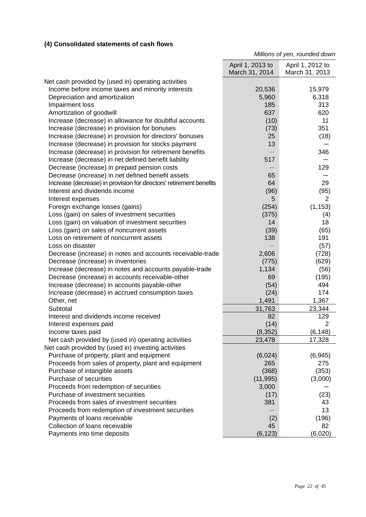### **(4) Consolidated statements of cash flows**

|                                                                     | April 1, 2013 to<br>March 31, 2014 | April 1, 2012 to<br>March 31, 2013 |
|---------------------------------------------------------------------|------------------------------------|------------------------------------|
|                                                                     |                                    |                                    |
| Net cash provided by (used in) operating activities                 |                                    |                                    |
| Income before income taxes and minority interests                   | 20,536                             | 15,979                             |
| Depreciation and amortization                                       | 5,960                              | 6,318                              |
| Impairment loss                                                     | 185                                | 313                                |
| Amortization of goodwill                                            | 637                                | 620                                |
| Increase (decrease) in allowance for doubtful accounts              | (10)                               | 11                                 |
| Increase (decrease) in provision for bonuses                        | (73)                               | 351                                |
| Increase (decrease) in provision for directors' bonuses             | 25                                 | (18)                               |
| Increase (decrease) in provision for stocks payment                 | 13                                 |                                    |
| Increase (decrease) in provision for retirement benefits            |                                    | 346                                |
| Increase (decrease) in net defined benefit liability                | 517                                |                                    |
| Decrease (increase) in prepaid pension costs                        |                                    | 129                                |
| Decrease (increase) in net defined benefit assets                   | 65                                 |                                    |
| Increase (decrease) in provision for directors' retirement benefits | 64                                 | 29                                 |
| Interest and dividends income                                       | (96)                               | (95)                               |
| Interest expenses                                                   | 5                                  | 2                                  |
| Foreign exchange losses (gains)                                     | (254)                              | (1, 153)                           |
| Loss (gain) on sales of investment securities                       | (375)                              | (4)                                |
| Loss (gain) on valuation of investment securities                   | 14                                 | 18                                 |
| Loss (gain) on sales of noncurrent assets                           | (39)                               | (65)                               |
| Loss on retirement of noncurrent assets                             | 138                                | 191                                |
| Loss on disaster                                                    |                                    | (57)                               |
| Decrease (increase) in notes and accounts receivable-trade          | 2,606                              | (728)                              |
| Decrease (increase) in inventories                                  | (775)                              | (629)                              |
| Increase (decrease) in notes and accounts payable-trade             | 1,134                              | (56)                               |
| Decrease (increase) in accounts receivable-other                    | 69                                 | (195)                              |
| Increase (decrease) in accounts payable-other                       | (54)                               | 494                                |
| Increase (decrease) in accrued consumption taxes                    | (24)                               | 174                                |
| Other, net                                                          | 1,491                              | 1,367                              |
| Subtotal                                                            | 31,763                             | 23,344                             |
| Interest and dividends income received                              | 82                                 | 129                                |
| Interest expenses paid                                              | (14)                               | $\overline{2}$                     |
| Income taxes paid                                                   | (8, 352)                           | (6, 148)                           |
| Net cash provided by (used in) operating activities                 | 23,478                             | 17,328                             |
| Net cash provided by (used in) investing activities                 |                                    |                                    |
| Purchase of property, plant and equipment                           | (6,024)                            | (6, 945)                           |
| Proceeds from sales of property, plant and equipment                | 265                                | 275                                |
| Purchase of intangible assets                                       | (368)                              | (353)                              |
| Purchase of securities                                              | (11, 995)                          | (3,000)                            |
| Proceeds from redemption of securities                              | 3,000                              |                                    |
| Purchase of investment securities                                   | (17)                               | (23)                               |
| Proceeds from sales of investment securities                        | 381                                | 43                                 |
| Proceeds from redemption of investment securities                   |                                    | 13                                 |
| Payments of loans receivable                                        | (2)                                | (196)                              |
| Collection of loans receivable                                      | 45                                 | 82                                 |
| Payments into time deposits                                         | (6, 123)                           | (6,020)                            |
|                                                                     |                                    |                                    |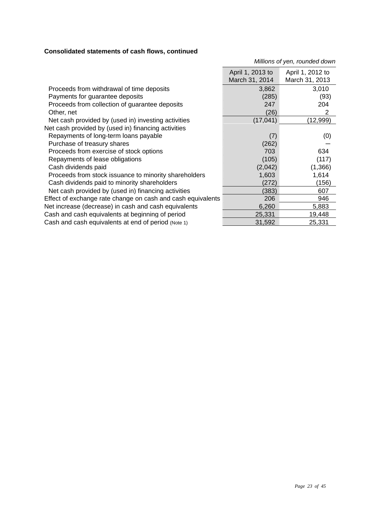### **Consolidated statements of cash flows, continued**

|                                                             | April 1, 2013 to<br>March 31, 2014 | April 1, 2012 to<br>March 31, 2013 |
|-------------------------------------------------------------|------------------------------------|------------------------------------|
| Proceeds from withdrawal of time deposits                   | 3,862                              | 3,010                              |
| Payments for guarantee deposits                             | (285)                              | (93)                               |
| Proceeds from collection of guarantee deposits              | 247                                | 204                                |
| Other, net                                                  | (26)                               | 2                                  |
| Net cash provided by (used in) investing activities         | (17, 041)                          | (12,999)                           |
| Net cash provided by (used in) financing activities         |                                    |                                    |
| Repayments of long-term loans payable                       | (7)                                | (0)                                |
| Purchase of treasury shares                                 | (262)                              |                                    |
| Proceeds from exercise of stock options                     | 703                                | 634                                |
| Repayments of lease obligations                             | (105)                              | (117)                              |
| Cash dividends paid                                         | (2,042)                            | (1,366)                            |
| Proceeds from stock issuance to minority shareholders       | 1,603                              | 1,614                              |
| Cash dividends paid to minority shareholders                | (272)                              | (156)                              |
| Net cash provided by (used in) financing activities         | (383)                              | 607                                |
| Effect of exchange rate change on cash and cash equivalents | 206                                | 946                                |
| Net increase (decrease) in cash and cash equivalents        | 6,260                              | 5,883                              |
| Cash and cash equivalents at beginning of period            | 25,331                             | 19,448                             |
| Cash and cash equivalents at end of period (Note 1)         | 31,592                             | 25,331                             |
|                                                             |                                    |                                    |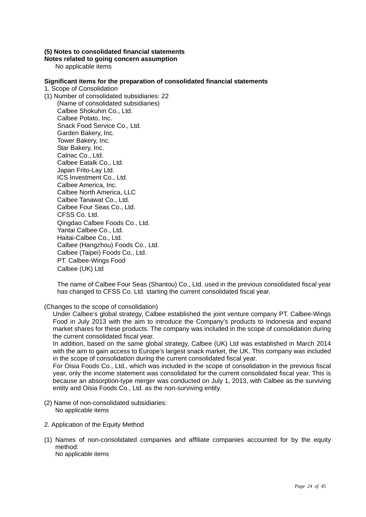### **(5) Notes to consolidated financial statements**

### **Notes related to going concern assumption**

No applicable items

### **Significant items for the preparation of consolidated financial statements**

1. Scope of Consolidation

(1) Number of consolidated subsidiaries: 22 (Name of consolidated subsidiaries) Calbee Shokuhin Co., Ltd. Calbee Potato, Inc. Snack Food Service Co., Ltd. Garden Bakery, Inc. Tower Bakery, Inc. Star Bakery, Inc. Calnac Co., Ltd. Calbee Eatalk Co., Ltd. Japan Frito-Lay Ltd. ICS Investment Co., Ltd. Calbee America, Inc. Calbee North America, LLC Calbee Tanawat Co., Ltd. Calbee Four Seas Co., Ltd. CFSS Co. Ltd. Qingdao Calbee Foods Co., Ltd. Yantai Calbee Co., Ltd. Haitai-Calbee Co., Ltd. Calbee (Hangzhou) Foods Co., Ltd. Calbee (Taipei) Foods Co., Ltd. PT. Calbee-Wings Food Calbee (UK) Ltd

> The name of Calbee Four Seas (Shantou) Co., Ltd. used in the previous consolidated fiscal year has changed to CFSS Co. Ltd. starting the current consolidated fiscal year.

(Changes to the scope of consolidation)

Under Calbee's global strategy, Calbee established the joint venture company PT. Calbee-Wings Food in July 2013 with the aim to introduce the Company's products to Indonesia and expand market shares for these products. The company was included in the scope of consolidation during the current consolidated fiscal year.

In addition, based on the same global strategy, Calbee (UK) Ltd was established in March 2014 with the aim to gain access to Europe's largest snack market, the UK. This company was included in the scope of consolidation during the current consolidated fiscal year.

For Oisia Foods Co., Ltd., which was included in the scope of consolidation in the previous fiscal year, only the income statement was consolidated for the current consolidated fiscal year. This is because an absorption-type merger was conducted on July 1, 2013, with Calbee as the surviving entity and Oisia Foods Co., Ltd. as the non-surviving entity.

- (2) Name of non-consolidated subsidiaries: No applicable items
- 2. Application of the Equity Method
- (1) Names of non-consolidated companies and affiliate companies accounted for by the equity method: No applicable items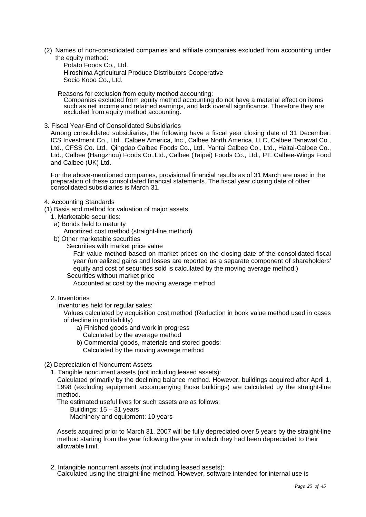(2) Names of non-consolidated companies and affiliate companies excluded from accounting under the equity method:

Potato Foods Co., Ltd. Hiroshima Agricultural Produce Distributors Cooperative Socio Kobo Co., Ltd.

Reasons for exclusion from equity method accounting: Companies excluded from equity method accounting do not have a material effect on items such as net income and retained earnings, and lack overall significance. Therefore they are excluded from equity method accounting.

3. Fiscal Year-End of Consolidated Subsidiaries

Among consolidated subsidiaries, the following have a fiscal year closing date of 31 December: ICS Investment Co., Ltd., Calbee America, Inc., Calbee North America, LLC, Calbee Tanawat Co., Ltd., CFSS Co. Ltd., Qingdao Calbee Foods Co., Ltd., Yantai Calbee Co., Ltd., Haitai-Calbee Co., Ltd., Calbee (Hangzhou) Foods Co.,Ltd., Calbee (Taipei) Foods Co., Ltd., PT. Calbee-Wings Food and Calbee (UK) Ltd.

For the above-mentioned companies, provisional financial results as of 31 March are used in the preparation of these consolidated financial statements. The fiscal year closing date of other consolidated subsidiaries is March 31.

### 4. Accounting Standards

(1) Basis and method for valuation of major assets

- 1. Marketable securities:
- a) Bonds held to maturity
	- Amortized cost method (straight-line method)
- b) Other marketable securities
	- Securities with market price value

Fair value method based on market prices on the closing date of the consolidated fiscal year (unrealized gains and losses are reported as a separate component of shareholders' equity and cost of securities sold is calculated by the moving average method.)

Securities without market price

Accounted at cost by the moving average method

2. Inventories

Inventories held for regular sales:

Values calculated by acquisition cost method (Reduction in book value method used in cases of decline in profitability)

- a) Finished goods and work in progress
- Calculated by the average method
- b) Commercial goods, materials and stored goods:
- Calculated by the moving average method
- (2) Depreciation of Noncurrent Assets
	- 1. Tangible noncurrent assets (not including leased assets):

Calculated primarily by the declining balance method. However, buildings acquired after April 1, 1998 (excluding equipment accompanying those buildings) are calculated by the straight-line method.

The estimated useful lives for such assets are as follows:

Buildings: 15 – 31 years

Machinery and equipment: 10 years

Assets acquired prior to March 31, 2007 will be fully depreciated over 5 years by the straight-line method starting from the year following the year in which they had been depreciated to their allowable limit.

2. Intangible noncurrent assets (not including leased assets): Calculated using the straight-line method. However, software intended for internal use is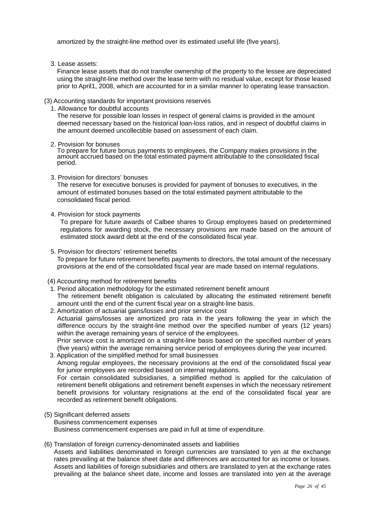amortized by the straight-line method over its estimated useful life (five years).

3. Lease assets:

Finance lease assets that do not transfer ownership of the property to the lessee are depreciated using the straight-line method over the lease term with no residual value, except for those leased prior to April1, 2008, which are accounted for in a similar manner to operating lease transaction.

### (3) Accounting standards for important provisions reserves

1. Allowance for doubtful accounts

The reserve for possible loan losses in respect of general claims is provided in the amount deemed necessary based on the historical loan-loss ratios, and in respect of doubtful claims in the amount deemed uncollectible based on assessment of each claim.

2. Provision for bonuses

To prepare for future bonus payments to employees, the Company makes provisions in the amount accrued based on the total estimated payment attributable to the consolidated fiscal period.

3. Provision for directors' bonuses

The reserve for executive bonuses is provided for payment of bonuses to executives, in the amount of estimated bonuses based on the total estimated payment attributable to the consolidated fiscal period.

4. Provision for stock payments

To prepare for future awards of Calbee shares to Group employees based on predetermined regulations for awarding stock, the necessary provisions are made based on the amount of estimated stock award debt at the end of the consolidated fiscal year.

### 5. Provision for directors' retirement benefits

To prepare for future retirement benefits payments to directors, the total amount of the necessary provisions at the end of the consolidated fiscal year are made based on internal regulations.

### (4) Accounting method for retirement benefits

- 1. Period allocation methodology for the estimated retirement benefit amount The retirement benefit obligation is calculated by allocating the estimated retirement benefit amount until the end of the current fiscal year on a straight-line basis.
- 2. Amortization of actuarial gains/losses and prior service cost Actuarial gains/losses are amortized pro rata in the years following the year in which the difference occurs by the straight-line method over the specified number of years (12 years) within the average remaining years of service of the employees. Prior service cost is amortized on a straight-line basis based on the specified number of years

### (five years) within the average remaining service period of employees during the year incurred. 3. Application of the simplified method for small businesses Among regular employees, the necessary provisions at the end of the consolidated fiscal year for junior employees are recorded based on internal regulations. For certain consolidated subsidiaries, a simplified method is applied for the calculation of retirement benefit obligations and retirement benefit expenses in which the necessary retirement

benefit provisions for voluntary resignations at the end of the consolidated fiscal year are recorded as retirement benefit obligations.

- (5) Significant deferred assets Business commencement expenses Business commencement expenses are paid in full at time of expenditure.
- (6) Translation of foreign currency-denominated assets and liabilities

Assets and liabilities denominated in foreign currencies are translated to yen at the exchange rates prevailing at the balance sheet date and differences are accounted for as income or losses. Assets and liabilities of foreign subsidiaries and others are translated to yen at the exchange rates prevailing at the balance sheet date, income and losses are translated into yen at the average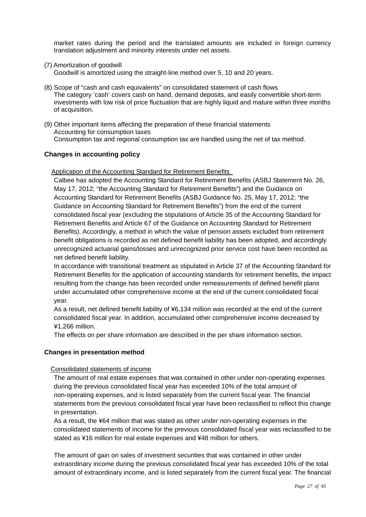market rates during the period and the translated amounts are included in foreign currency translation adjustment and minority interests under net assets.

(7) Amortization of goodwill

Goodwill is amortized using the straight-line method over 5, 10 and 20 years.

- (8) Scope of "cash and cash equivalents" on consolidated statement of cash flows The category 'cash' covers cash on hand, demand deposits, and easily convertible short-term investments with low risk of price fluctuation that are highly liquid and mature within three months of acquisition.
- (9) Other important items affecting the preparation of these financial statements Accounting for consumption taxes Consumption tax and regional consumption tax are handled using the net of tax method.

### **Changes in accounting policy**

### Application of the Accounting Standard for Retirement Benefits

Calbee has adopted the Accounting Standard for Retirement Benefits (ASBJ Statement No. 26, May 17, 2012; "the Accounting Standard for Retirement Benefits") and the Guidance on Accounting Standard for Retirement Benefits (ASBJ Guidance No. 25, May 17, 2012; "the Guidance on Accounting Standard for Retirement Benefits") from the end of the current consolidated fiscal year (excluding the stipulations of Article 35 of the Accounting Standard for Retirement Benefits and Article 67 of the Guidance on Accounting Standard for Retirement Benefits). Accordingly, a method in which the value of pension assets excluded from retirement benefit obligations is recorded as net defined benefit liability has been adopted, and accordingly unrecognized actuarial gains/losses and unrecognized prior service cost have been recorded as net defined benefit liability.

In accordance with transitional treatment as stipulated in Article 37 of the Accounting Standard for Retirement Benefits for the application of accounting standards for retirement benefits, the impact resulting from the change has been recorded under remeasurements of defined benefit plans under accumulated other comprehensive income at the end of the current consolidated fiscal year.

As a result, net defined benefit liability of ¥6,134 million was recorded at the end of the current consolidated fiscal year. In addition, accumulated other comprehensive income decreased by ¥1,266 million.

The effects on per share information are described in the per share information section.

### **Changes in presentation method**

### Consolidated statements of income

The amount of real estate expenses that was contained in other under non-operating expenses during the previous consolidated fiscal year has exceeded 10% of the total amount of non-operating expenses, and is listed separately from the current fiscal year. The financial statements from the previous consolidated fiscal year have been reclassified to reflect this change in presentation.

As a result, the ¥64 million that was stated as other under non-operating expenses in the consolidated statements of income for the previous consolidated fiscal year was reclassified to be stated as ¥16 million for real estate expenses and ¥48 million for others.

The amount of gain on sales of investment securities that was contained in other under extraordinary income during the previous consolidated fiscal year has exceeded 10% of the total amount of extraordinary income, and is listed separately from the current fiscal year. The financial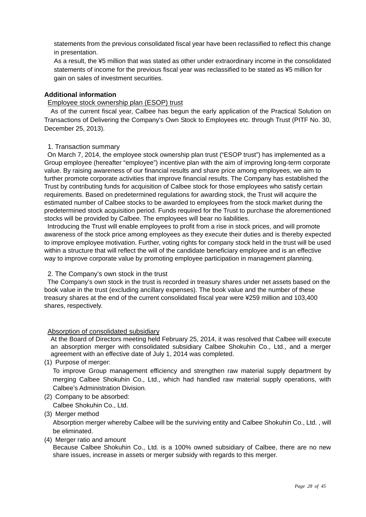statements from the previous consolidated fiscal year have been reclassified to reflect this change in presentation.

As a result, the ¥5 million that was stated as other under extraordinary income in the consolidated statements of income for the previous fiscal year was reclassified to be stated as ¥5 million for gain on sales of investment securities.

### **Additional information**

### Employee stock ownership plan (ESOP) trust

As of the current fiscal year, Calbee has begun the early application of the Practical Solution on Transactions of Delivering the Company's Own Stock to Employees etc. through Trust (PITF No. 30, December 25, 2013).

### 1. Transaction summary

On March 7, 2014, the employee stock ownership plan trust ("ESOP trust") has implemented as a Group employee (hereafter "employee") incentive plan with the aim of improving long-term corporate value. By raising awareness of our financial results and share price among employees, we aim to further promote corporate activities that improve financial results. The Company has established the Trust by contributing funds for acquisition of Calbee stock for those employees who satisfy certain requirements. Based on predetermined regulations for awarding stock, the Trust will acquire the estimated number of Calbee stocks to be awarded to employees from the stock market during the predetermined stock acquisition period. Funds required for the Trust to purchase the aforementioned stocks will be provided by Calbee. The employees will bear no liabilities.

Introducing the Trust will enable employees to profit from a rise in stock prices, and will promote awareness of the stock price among employees as they execute their duties and is thereby expected to improve employee motivation. Further, voting rights for company stock held in the trust will be used within a structure that will reflect the will of the candidate beneficiary employee and is an effective way to improve corporate value by promoting employee participation in management planning.

### 2. The Company's own stock in the trust

The Company's own stock in the trust is recorded in treasury shares under net assets based on the book value in the trust (excluding ancillary expenses). The book value and the number of these treasury shares at the end of the current consolidated fiscal year were ¥259 million and 103,400 shares, respectively.

### Absorption of consolidated subsidiary

At the Board of Directors meeting held February 25, 2014, it was resolved that Calbee will execute an absorption merger with consolidated subsidiary Calbee Shokuhin Co., Ltd., and a merger agreement with an effective date of July 1, 2014 was completed.

(1) Purpose of merger:

To improve Group management efficiency and strengthen raw material supply department by merging Calbee Shokuhin Co., Ltd., which had handled raw material supply operations, with Calbee's Administration Division.

(2) Company to be absorbed:

Calbee Shokuhin Co., Ltd.

(3) Merger method

Absorption merger whereby Calbee will be the surviving entity and Calbee Shokuhin Co., Ltd. , will be eliminated.

(4) Merger ratio and amount

Because Calbee Shokuhin Co., Ltd. is a 100% owned subsidiary of Calbee, there are no new share issues, increase in assets or merger subsidy with regards to this merger.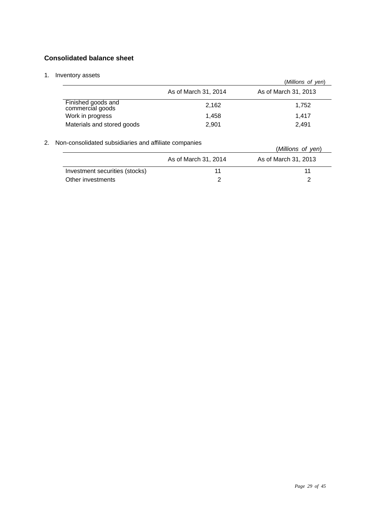### **Consolidated balance sheet**

### 1. Inventory assets

| ivenioly assets                        |                      | (Millions of yen)    |
|----------------------------------------|----------------------|----------------------|
|                                        | As of March 31, 2014 | As of March 31, 2013 |
| Finished goods and<br>commercial goods | 2,162                | 1,752                |
| Work in progress                       | 1,458                | 1.417                |
| Materials and stored goods             | 2,901                | 2.491                |

### 2. Non-consolidated subsidiaries and affiliate companies

| on-consolidated subsidiaries and allillate companies. |                      | (Millions of yen)    |
|-------------------------------------------------------|----------------------|----------------------|
|                                                       | As of March 31, 2014 | As of March 31, 2013 |
| Investment securities (stocks)                        | 11                   | 11                   |
| Other investments                                     |                      |                      |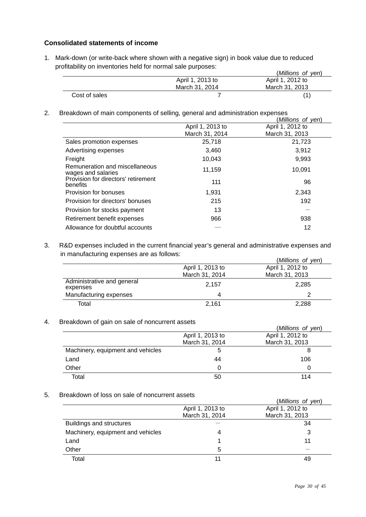### **Consolidated statements of income**

1. Mark-down (or write-back where shown with a negative sign) in book value due to reduced profitability on inventories held for normal sale purposes: (*Millions of yen*)

|               |                  | ( <i>Millions of yen</i> ) |
|---------------|------------------|----------------------------|
|               | April 1, 2013 to | April 1, 2012 to           |
|               | March 31, 2014   | March 31, 2013             |
| Cost of sales |                  |                            |

2. Breakdown of main components of selling, general and administration expenses

|                                                      |                  | (Millions of yen) |
|------------------------------------------------------|------------------|-------------------|
|                                                      | April 1, 2013 to | April 1, 2012 to  |
|                                                      | March 31, 2014   | March 31, 2013    |
| Sales promotion expenses                             | 25,718           | 21,723            |
| Advertising expenses                                 | 3,460            | 3,912             |
| Freight                                              | 10.043           | 9,993             |
| Remuneration and miscellaneous<br>wages and salaries | 11,159           | 10,091            |
| Provision for directors' retirement<br>benefits      | 111              | 96                |
| Provision for bonuses                                | 1,931            | 2,343             |
| Provision for directors' bonuses                     | 215              | 192               |
| Provision for stocks payment                         | 13               |                   |
| Retirement benefit expenses                          | 966              | 938               |
| Allowance for doubtful accounts                      |                  | 12                |

3. R&D expenses included in the current financial year's general and administrative expenses and in manufacturing expenses are as follows:

|                                        |                  | (Millions of yen) |
|----------------------------------------|------------------|-------------------|
|                                        | April 1, 2013 to | April 1, 2012 to  |
|                                        | March 31, 2014   | March 31, 2013    |
| Administrative and general<br>expenses | 2.157            | 2.285             |
| Manufacturing expenses                 |                  |                   |
| Total                                  | 2,161            | 2,288             |

### 4. Breakdown of gain on sale of noncurrent assets

|                                   |                  | (Millions of yen) |
|-----------------------------------|------------------|-------------------|
|                                   | April 1, 2013 to | April 1, 2012 to  |
|                                   | March 31, 2014   | March 31, 2013    |
| Machinery, equipment and vehicles | 5                | ö                 |
| Land                              | 44               | 106               |
| Other                             |                  |                   |
| Total                             | 50               | 114               |

### 5. Breakdown of loss on sale of noncurrent assets

| בוסמושטווטו וט סאס טוו פנטו וטוועטוונדונג (הספטוריט |                  | (Millions of yen) |
|-----------------------------------------------------|------------------|-------------------|
|                                                     | April 1, 2013 to | April 1, 2012 to  |
|                                                     | March 31, 2014   | March 31, 2013    |
| Buildings and structures                            |                  | 34                |
| Machinery, equipment and vehicles                   |                  | 3                 |
| Land                                                |                  | 11                |
| Other                                               | 5                |                   |
| Total                                               |                  | 49                |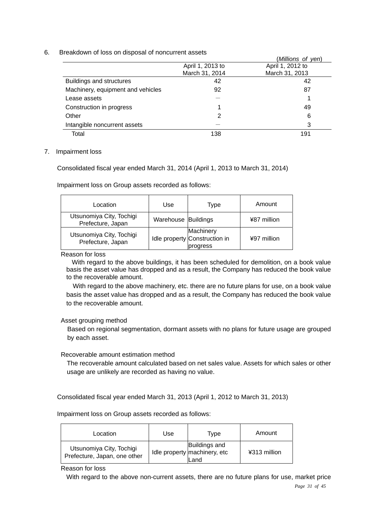6. Breakdown of loss on disposal of noncurrent assets

|                                   |                  | (Millions of yen) |
|-----------------------------------|------------------|-------------------|
|                                   | April 1, 2013 to | April 1, 2012 to  |
|                                   | March 31, 2014   | March 31, 2013    |
| Buildings and structures          | 42               | 42                |
| Machinery, equipment and vehicles | 92               | 87                |
| Lease assets                      |                  |                   |
| Construction in progress          |                  | 49                |
| Other                             | 2                | 6                 |
| Intangible noncurrent assets      |                  | 3                 |
| Total                             | 138              | 191               |

### 7. Impairment loss

Consolidated fiscal year ended March 31, 2014 (April 1, 2013 to March 31, 2014)

Impairment loss on Group assets recorded as follows:

| Location                                      | Use                 | Type                                                   | Amount      |
|-----------------------------------------------|---------------------|--------------------------------------------------------|-------------|
| Utsunomiya City, Tochigi<br>Prefecture, Japan | Warehouse Buildings |                                                        | ¥87 million |
| Utsunomiya City, Tochigi<br>Prefecture, Japan |                     | Machinery<br>Idle property Construction in<br>progress | ¥97 million |

Reason for loss

With regard to the above buildings, it has been scheduled for demolition, on a book value basis the asset value has dropped and as a result, the Company has reduced the book value to the recoverable amount.

With regard to the above machinery, etc. there are no future plans for use, on a book value basis the asset value has dropped and as a result, the Company has reduced the book value to the recoverable amount.

Asset grouping method

Based on regional segmentation, dormant assets with no plans for future usage are grouped by each asset.

Recoverable amount estimation method

The recoverable amount calculated based on net sales value. Assets for which sales or other usage are unlikely are recorded as having no value.

Consolidated fiscal year ended March 31, 2013 (April 1, 2012 to March 31, 2013)

Impairment loss on Group assets recorded as follows:

| Location                                                 | Use | Type                                                  | Amount       |
|----------------------------------------------------------|-----|-------------------------------------------------------|--------------|
| Utsunomiya City, Tochigi<br>Prefecture, Japan, one other |     | Buildings and<br>Idle property machinery, etc<br>Land | ¥313 million |

Reason for loss

With regard to the above non-current assets, there are no future plans for use, market price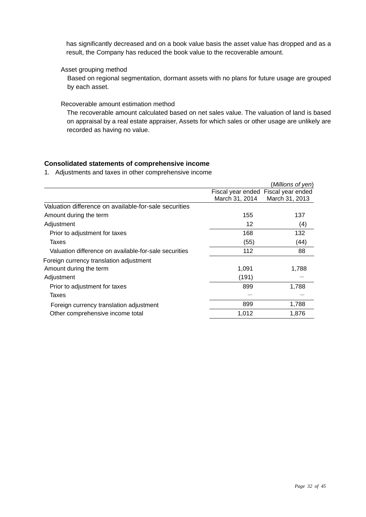has significantly decreased and on a book value basis the asset value has dropped and as a result, the Company has reduced the book value to the recoverable amount.

Asset grouping method

Based on regional segmentation, dormant assets with no plans for future usage are grouped by each asset.

### Recoverable amount estimation method

The recoverable amount calculated based on net sales value. The valuation of land is based on appraisal by a real estate appraiser, Assets for which sales or other usage are unlikely are recorded as having no value.

### **Consolidated statements of comprehensive income**

1. Adjustments and taxes in other comprehensive income

|                                                       |                                     | (Millions of yen) |
|-------------------------------------------------------|-------------------------------------|-------------------|
|                                                       | Fiscal year ended Fiscal year ended |                   |
|                                                       | March 31, 2014                      | March 31, 2013    |
| Valuation difference on available-for-sale securities |                                     |                   |
| Amount during the term                                | 155                                 | 137               |
| Adjustment                                            | 12                                  | (4)               |
| Prior to adjustment for taxes                         | 168                                 | 132               |
| Taxes                                                 | (55)                                | (44)              |
| Valuation difference on available-for-sale securities | 112                                 | 88                |
| Foreign currency translation adjustment               |                                     |                   |
| Amount during the term                                | 1,091                               | 1,788             |
| Adjustment                                            | (191)                               |                   |
| Prior to adjustment for taxes                         | 899                                 | 1,788             |
| Taxes                                                 |                                     |                   |
| Foreign currency translation adjustment               | 899                                 | 1,788             |
| Other comprehensive income total                      | 1,012                               | 1,876             |
|                                                       |                                     |                   |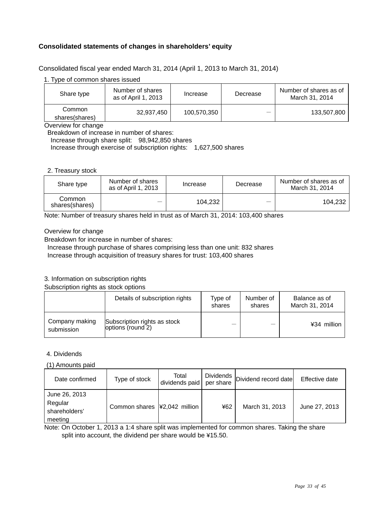### **Consolidated statements of changes in shareholders' equity**

Consolidated fiscal year ended March 31, 2014 (April 1, 2013 to March 31, 2014)

1. Type of common shares issued

| Share type               | Number of shares<br>as of April 1, 2013 | Increase    | Decrease | Number of shares as of<br>March 31, 2014 |
|--------------------------|-----------------------------------------|-------------|----------|------------------------------------------|
| Common<br>shares(shares) | 32,937,450                              | 100,570,350 |          | 133,507,800                              |

Overview for change

Breakdown of increase in number of shares:

Increase through share split: 98,942,850 shares

Increase through exercise of subscription rights: 1,627,500 shares

### 2. Treasury stock

| Share type               | Number of shares<br>as of April 1, 2013 | Increase | Decrease | Number of shares as of<br>March 31, 2014 |
|--------------------------|-----------------------------------------|----------|----------|------------------------------------------|
| Common<br>shares(shares) | –                                       | 104,232  | _        | 104,232                                  |

Note: Number of treasury shares held in trust as of March 31, 2014: 103,400 shares

### Overview for change

Breakdown for increase in number of shares:

Increase through purchase of shares comprising less than one unit: 832 shares

Increase through acquisition of treasury shares for trust: 103,400 shares

### 3. Information on subscription rights

Subscription rights as stock options

|                              | Details of subscription rights                    | Type of<br>shares | Number of<br>shares | Balance as of<br>March 31, 2014 |
|------------------------------|---------------------------------------------------|-------------------|---------------------|---------------------------------|
| Company making<br>submission | Subscription rights as stock<br>options (round 2) |                   |                     | ¥34 million                     |

### 4. Dividends

(1) Amounts paid

| Date confirmed                                       | Type of stock                                  | Total<br>dividends paid per share |     | Dividends   Dividend record date | Effective date |
|------------------------------------------------------|------------------------------------------------|-----------------------------------|-----|----------------------------------|----------------|
| June 26, 2013<br>Regular<br>shareholders'<br>meeting | Common shares $\vert \frac{1}{2}$ ,042 million |                                   | ¥62 | March 31, 2013                   | June 27, 2013  |

Note: On October 1, 2013 a 1:4 share split was implemented for common shares. Taking the share split into account, the dividend per share would be ¥15.50.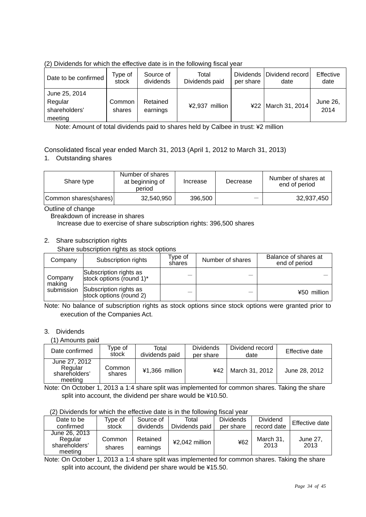| Date to be confirmed                                 | Type of<br>stock | Source of<br>dividends | Total<br>Dividends paid | per share | Dividends   Dividend record<br>date | Effective<br>date |
|------------------------------------------------------|------------------|------------------------|-------------------------|-----------|-------------------------------------|-------------------|
| June 25, 2014<br>Regular<br>shareholders'<br>meeting | Common<br>shares | Retained<br>earnings   | ¥2,937 million          |           | ¥22   March 31, 2014                | June 26,<br>2014  |

(2) Dividends for which the effective date is in the following fiscal year

Note: Amount of total dividends paid to shares held by Calbee in trust: ¥2 million

### Consolidated fiscal year ended March 31, 2013 (April 1, 2012 to March 31, 2013)

1. Outstanding shares

| Share type            | Number of shares<br>at beginning of<br>period | Increase | Decrease | Number of shares at<br>end of period |
|-----------------------|-----------------------------------------------|----------|----------|--------------------------------------|
| Common shares(shares) | 32,540,950                                    | 396,500  |          | 32,937,450                           |

Outline of change

Breakdown of increase in shares

Increase due to exercise of share subscription rights: 396,500 shares

### 2. Share subscription rights

Share subscription rights as stock options

| Company           | Subscription rights                                | Type of<br>shares | Number of shares | Balance of shares at<br>end of period |
|-------------------|----------------------------------------------------|-------------------|------------------|---------------------------------------|
| Company<br>making | Subscription rights as<br>stock options (round 1)* |                   |                  |                                       |
| submission        | Subscription rights as<br>stock options (round 2)  |                   |                  | ¥50 million                           |

Note: No balance of subscription rights as stock options since stock options were granted prior to execution of the Companies Act.

### 3. Dividends

(1) Amounts paid

| Date confirmed                                       | Type of<br>stock | Total<br>dividends paid | <b>Dividends</b><br>per share | Dividend record<br>date | Effective date |
|------------------------------------------------------|------------------|-------------------------|-------------------------------|-------------------------|----------------|
| June 27, 2012<br>Regular<br>shareholders'<br>meeting | Common<br>shares | ¥1,366 million          | ¥42                           | March 31, 2012          | June 28, 2012  |

Note: On October 1, 2013 a 1:4 share split was implemented for common shares. Taking the share split into account, the dividend per share would be ¥10.50.

| Date to be                                           | Type of          | Source of            | Total          | <b>Dividends</b> | <b>Dividend</b>   | Effective date   |
|------------------------------------------------------|------------------|----------------------|----------------|------------------|-------------------|------------------|
| confirmed                                            | stock            | dividends            | Dividends paid | per share        | record date       |                  |
| June 26, 2013<br>Regular<br>shareholders'<br>meeting | Common<br>shares | Retained<br>earnings | ¥2,042 million | ¥62              | March 31,<br>2013 | June 27.<br>2013 |

Note: On October 1, 2013 a 1:4 share split was implemented for common shares. Taking the share split into account, the dividend per share would be ¥15.50.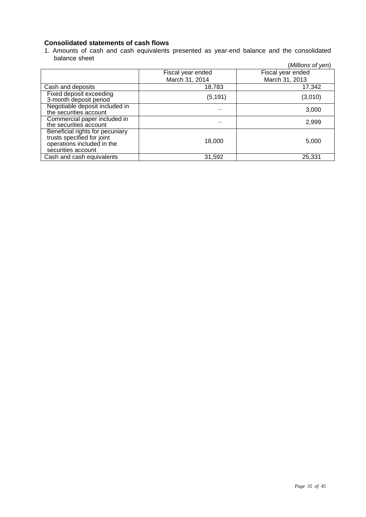### **Consolidated statements of cash flows**

1. Amounts of cash and cash equivalents presented as year-end balance and the consolidated balance sheet (*Millions of yen*)

|                                                                                                                   |                   | (Millions of yen) |
|-------------------------------------------------------------------------------------------------------------------|-------------------|-------------------|
|                                                                                                                   | Fiscal year ended | Fiscal year ended |
|                                                                                                                   | March 31, 2014    | March 31, 2013    |
| Cash and deposits                                                                                                 | 18,783            | 17,342            |
| Fixed deposit exceeding<br>3-month deposit period                                                                 | (5, 191)          | (3,010)           |
| Negotiable deposit included in<br>the securities account                                                          |                   | 3,000             |
| Commercial paper included in<br>the securities account                                                            |                   | 2,999             |
| Beneficial rights for pecuniary<br>trusts specified for joint<br>operations included in the<br>securities account | 18,000            | 5,000             |
| Cash and cash equivalents                                                                                         | 31,592            | 25,331            |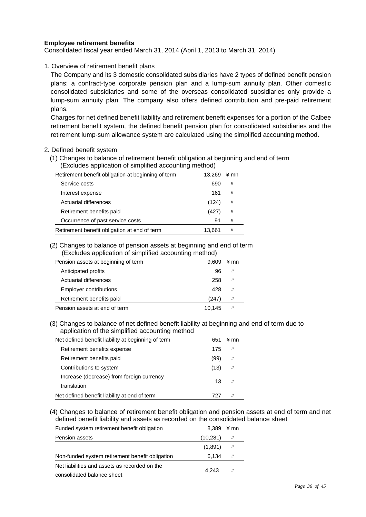### **Employee retirement benefits**

Consolidated fiscal year ended March 31, 2014 (April 1, 2013 to March 31, 2014)

1. Overview of retirement benefit plans

 The Company and its 3 domestic consolidated subsidiaries have 2 types of defined benefit pension plans: a contract-type corporate pension plan and a lump-sum annuity plan. Other domestic consolidated subsidiaries and some of the overseas consolidated subsidiaries only provide a lump-sum annuity plan. The company also offers defined contribution and pre-paid retirement plans.

 Charges for net defined benefit liability and retirement benefit expenses for a portion of the Calbee retirement benefit system, the defined benefit pension plan for consolidated subsidiaries and the retirement lump-sum allowance system are calculated using the simplified accounting method.

#### 2. Defined benefit system

(1) Changes to balance of retirement benefit obligation at beginning and end of term (Excludes application of simplified accounting method)

| Retirement benefit obligation at beginning of term | 13.269 | ¥ mn |
|----------------------------------------------------|--------|------|
| Service costs                                      | 690    | IJ   |
| Interest expense                                   | 161    | IJ   |
| Actuarial differences                              | (124)  | IJ   |
| Retirement benefits paid                           | (427)  | IJ   |
| Occurrence of past service costs                   | 91     | IJ   |
| Retirement benefit obligation at end of term       | 13,661 | IJ   |

(2) Changes to balance of pension assets at beginning and end of term (Excludes application of simplified accounting method)

| Pension assets at beginning of term | 9.609  | ¥ mn |
|-------------------------------------|--------|------|
| Anticipated profits                 | 96     | IJ   |
| Actuarial differences               | 258    | IJ   |
| <b>Employer contributions</b>       | 428    | IJ   |
| Retirement benefits paid            | (247   | IJ   |
| Pension assets at end of term       | 10.145 | IJ   |

(3) Changes to balance of net defined benefit liability at beginning and end of term due to application of the simplified accounting method

| Net defined benefit liability at beginning of term       | 651  | ¥ mn    |
|----------------------------------------------------------|------|---------|
| Retirement benefits expense                              | 175  | IJ      |
| Retirement benefits paid                                 | (99) | IJ      |
| Contributions to system                                  | (13) | IJ      |
| Increase (decrease) from foreign currency<br>translation | 13   | $_{II}$ |
| Net defined benefit liability at end of term             |      | Л       |

(4) Changes to balance of retirement benefit obligation and pension assets at end of term and net defined benefit liability and assets as recorded on the consolidated balance sheet

| Funded system retirement benefit obligation     | 8.389     | ¥ mn |
|-------------------------------------------------|-----------|------|
| Pension assets                                  | (10, 281) | IJ   |
|                                                 | (1,891)   | IJ   |
| Non-funded system retirement benefit obligation | 6.134     | IJ   |
| Net liabilities and assets as recorded on the   |           | IJ   |
| consolidated balance sheet                      | 4.243     |      |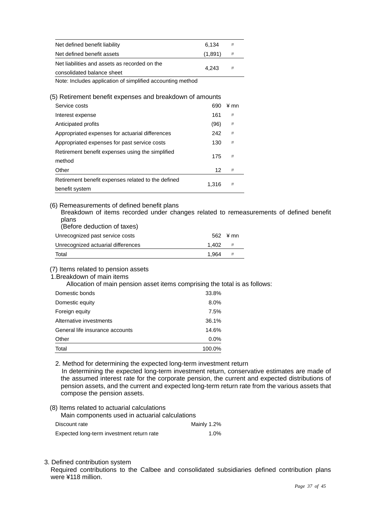| 6.134   | IJ    |
|---------|-------|
| (1,891) | IJ    |
|         | IJ    |
|         |       |
|         | 4.243 |

Note: Includes application of simplified accounting method

(5) Retirement benefit expenses and breakdown of amounts

| Service costs                                                        | 690   | ¥ mn      |
|----------------------------------------------------------------------|-------|-----------|
| Interest expense                                                     | 161   | J         |
| Anticipated profits                                                  | (96)  | IJ        |
| Appropriated expenses for actuarial differences                      | 242   | J         |
| Appropriated expenses for past service costs                         | 130   | $J\bar J$ |
| Retirement benefit expenses using the simplified<br>method           | 175   | J         |
| Other                                                                | 12    | J         |
| Retirement benefit expenses related to the defined<br>benefit system | 1.316 | J         |

### (6) Remeasurements of defined benefit plans

Breakdown of items recorded under changes related to remeasurements of defined benefit plans

(Before deduction of taxes)

| Unrecognized past service costs    |       | $562 \div$ mn |
|------------------------------------|-------|---------------|
| Unrecognized actuarial differences | 1.402 |               |
| Total                              | 1.964 |               |

### (7) Items related to pension assets

### 1.Breakdown of main items

Allocation of main pension asset items comprising the total is as follows:

| Domestic bonds                  | 33.8%   |
|---------------------------------|---------|
| Domestic equity                 | 8.0%    |
| Foreign equity                  | 7.5%    |
| Alternative investments         | 36.1%   |
| General life insurance accounts | 14.6%   |
| Other                           | $0.0\%$ |
| Total                           | 100.0%  |

2. Method for determining the expected long-term investment return In determining the expected long-term investment return, conservative estimates are made of the assumed interest rate for the corporate pension, the current and expected distributions of pension assets, and the current and expected long-term return rate from the various assets that compose the pension assets.

- (8) Items related to actuarial calculations Main components used in actuarial calculations Discount rate Mainly 1.2% Expected long-term investment return rate 1.0%
- 3. Defined contribution system

Required contributions to the Calbee and consolidated subsidiaries defined contribution plans were ¥118 million.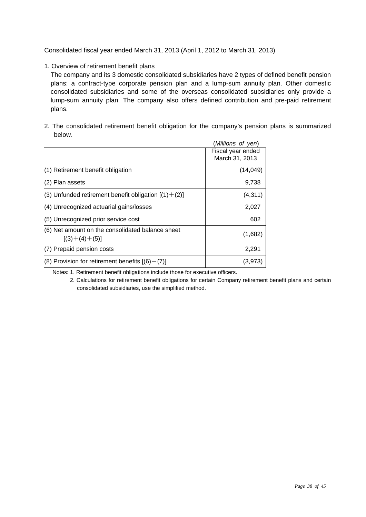Consolidated fiscal year ended March 31, 2013 (April 1, 2012 to March 31, 2013)

1. Overview of retirement benefit plans

 The company and its 3 domestic consolidated subsidiaries have 2 types of defined benefit pension plans: a contract-type corporate pension plan and a lump-sum annuity plan. Other domestic consolidated subsidiaries and some of the overseas consolidated subsidiaries only provide a lump-sum annuity plan. The company also offers defined contribution and pre-paid retirement plans.

2. The consolidated retirement benefit obligation for the company's pension plans is summarized below.

|                                                                     | (Millions of yen)                   |
|---------------------------------------------------------------------|-------------------------------------|
|                                                                     | Fiscal year ended<br>March 31, 2013 |
| (1) Retirement benefit obligation                                   | (14, 049)                           |
| (2) Plan assets                                                     | 9,738                               |
| (3) Unfunded retirement benefit obligation $[(1)+(2)]$              | (4, 311)                            |
| (4) Unrecognized actuarial gains/losses                             | 2,027                               |
| (5) Unrecognized prior service cost                                 | 602                                 |
| (6) Net amount on the consolidated balance sheet<br>$[(3)+(4)+(5)]$ | (1,682)                             |
| (7) Prepaid pension costs                                           | 2,291                               |
| $(8)$ Provision for retirement benefits $(6)-(7)$ ]                 | (3,973)                             |

Notes: 1. Retirement benefit obligations include those for executive officers.

<sup>2.</sup> Calculations for retirement benefit obligations for certain Company retirement benefit plans and certain consolidated subsidiaries, use the simplified method.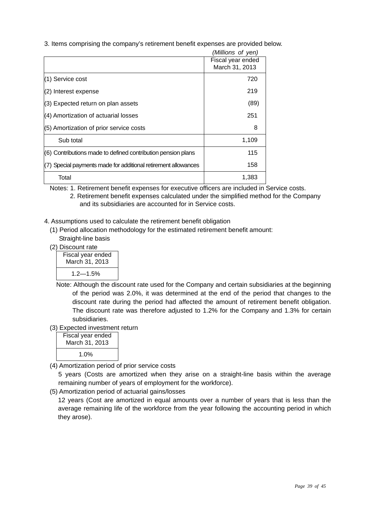3. Items comprising the company's retirement benefit expenses are provided below.

|                                                              | (Millions of yen)                   |
|--------------------------------------------------------------|-------------------------------------|
|                                                              | Fiscal year ended<br>March 31, 2013 |
| (1) Service cost                                             | 720                                 |
| (2) Interest expense                                         | 219                                 |
| (3) Expected return on plan assets                           | (89)                                |
| (4) Amortization of actuarial losses                         | 251                                 |
| (5) Amortization of prior service costs                      | 8                                   |
| Sub total                                                    | 1,109                               |
| (6) Contributions made to defined contribution pension plans | 115                                 |
| Special payments made for additional retirement allowances   | 158                                 |
| Total                                                        | 1,383                               |

Notes: 1. Retirement benefit expenses for executive officers are included in Service costs.

- 2. Retirement benefit expenses calculated under the simplified method for the Company and its subsidiaries are accounted for in Service costs.
- 4. Assumptions used to calculate the retirement benefit obligation
	- (1) Period allocation methodology for the estimated retirement benefit amount: Straight-line basis
	- (2) Discount rate

| Fiscal year ended<br>March 31, 2013 |  |
|-------------------------------------|--|
| 1.2—1.5%                            |  |

- Note: Although the discount rate used for the Company and certain subsidiaries at the beginning of the period was 2.0%, it was determined at the end of the period that changes to the discount rate during the period had affected the amount of retirement benefit obligation. The discount rate was therefore adjusted to 1.2% for the Company and 1.3% for certain subsidiaries.
- (3) Expected investment return

| Fiscal year ended<br>March 31, 2013 |  |
|-------------------------------------|--|
| $1.0\%$                             |  |

(4) Amortization period of prior service costs

5 years (Costs are amortized when they arise on a straight-line basis within the average remaining number of years of employment for the workforce).

(5) Amortization period of actuarial gains/losses

12 years (Cost are amortized in equal amounts over a number of years that is less than the average remaining life of the workforce from the year following the accounting period in which they arose).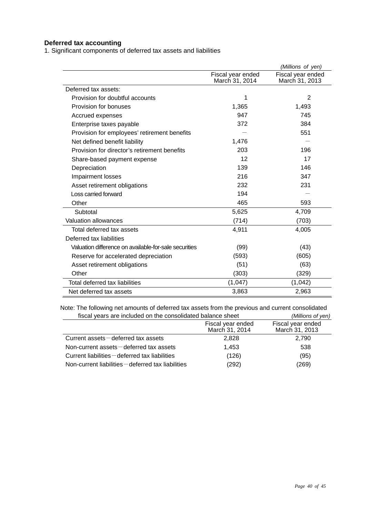### **Deferred tax accounting**

1. Significant components of deferred tax assets and liabilities

|                                                       |                                     | (Millions of yen)                   |
|-------------------------------------------------------|-------------------------------------|-------------------------------------|
|                                                       | Fiscal year ended<br>March 31, 2014 | Fiscal year ended<br>March 31, 2013 |
| Deferred tax assets:                                  |                                     |                                     |
| Provision for doubtful accounts                       | 1                                   | 2                                   |
| Provision for bonuses                                 | 1,365                               | 1,493                               |
| Accrued expenses                                      | 947                                 | 745                                 |
| Enterprise taxes payable                              | 372                                 | 384                                 |
| Provision for employees' retirement benefits          |                                     | 551                                 |
| Net defined benefit liability                         | 1,476                               |                                     |
| Provision for director's retirement benefits          | 203                                 | 196                                 |
| Share-based payment expense                           | 12                                  | 17                                  |
| Depreciation                                          | 139                                 | 146                                 |
| Impairment losses                                     | 216                                 | 347                                 |
| Asset retirement obligations                          | 232                                 | 231                                 |
| Loss carried forward                                  | 194                                 |                                     |
| Other                                                 | 465                                 | 593                                 |
| Subtotal                                              | 5,625                               | 4,709                               |
| <b>Valuation allowances</b>                           | (714)                               | (703)                               |
| Total deferred tax assets                             | 4,911                               | 4,005                               |
| Deferred tax liabilities                              |                                     |                                     |
| Valuation difference on available-for-sale securities | (99)                                | (43)                                |
| Reserve for accelerated depreciation                  | (593)                               | (605)                               |
| Asset retirement obligations                          | (51)                                | (63)                                |
| Other                                                 | (303)                               | (329)                               |
| Total deferred tax liabilities                        | (1,047)                             | (1,042)                             |
| Net deferred tax assets                               | 3,863                               | 2,963                               |

Note: The following net amounts of deferred tax assets from the previous and current consolidated fiscal years are included on the consolidated balance sheet *(Millions of yen)*

| fiscal veals are included on the consolidated palafice sheet |                                     | $($ $V$ $\mu$ $\mu$ $\mu$ $\sigma$ $\mu$ $\sigma$ $\mu$ |
|--------------------------------------------------------------|-------------------------------------|---------------------------------------------------------|
|                                                              | Fiscal year ended<br>March 31, 2014 | Fiscal year ended<br>March 31, 2013                     |
| Current assets-deferred tax assets                           | 2.828                               | 2,790                                                   |
| Non-current assets $-\theta$ deferred tax assets             | 1.453                               | 538                                                     |
| Current liabilities $-\theta$ deferred tax liabilities       | (126)                               | (95)                                                    |
| Non-current liabilities - deferred tax liabilities           | (292)                               | (269)                                                   |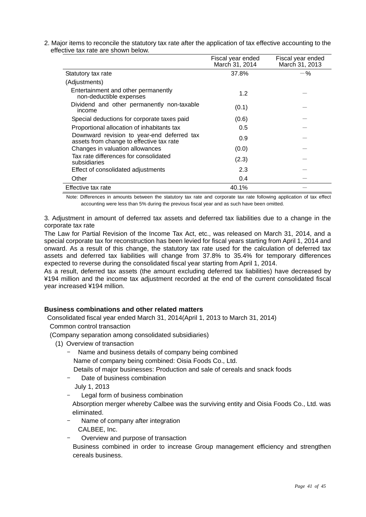2. Major items to reconcile the statutory tax rate after the application of tax effective accounting to the effective tax rate are shown below.

|                                                                                        | Fiscal year ended<br>March 31, 2014 | Fiscal year ended<br>March 31, 2013 |
|----------------------------------------------------------------------------------------|-------------------------------------|-------------------------------------|
| Statutory tax rate                                                                     | 37.8%                               | -%                                  |
| (Adjustments)                                                                          |                                     |                                     |
| Entertainment and other permanently<br>non-deductible expenses                         | 1.2                                 |                                     |
| Dividend and other permanently non-taxable<br>income                                   | (0.1)                               |                                     |
| Special deductions for corporate taxes paid                                            | (0.6)                               |                                     |
| Proportional allocation of inhabitants tax                                             | 0.5                                 |                                     |
| Downward revision to year-end deferred tax<br>assets from change to effective tax rate | 0.9                                 |                                     |
| Changes in valuation allowances                                                        | (0.0)                               |                                     |
| Tax rate differences for consolidated<br>subsidiaries                                  | (2.3)                               |                                     |
| Effect of consolidated adjustments                                                     | 2.3                                 |                                     |
| Other                                                                                  | 0.4                                 |                                     |
| Effective tax rate                                                                     | 40.1%                               |                                     |

Note: Differences in amounts between the statutory tax rate and corporate tax rate following application of tax effect accounting were less than 5% during the previous fiscal year and as such have been omitted.

3. Adjustment in amount of deferred tax assets and deferred tax liabilities due to a change in the corporate tax rate

The Law for Partial Revision of the Income Tax Act, etc., was released on March 31, 2014, and a special corporate tax for reconstruction has been levied for fiscal years starting from April 1, 2014 and onward. As a result of this change, the statutory tax rate used for the calculation of deferred tax assets and deferred tax liabilities will change from 37.8% to 35.4% for temporary differences expected to reverse during the consolidated fiscal year starting from April 1, 2014.

As a result, deferred tax assets (the amount excluding deferred tax liabilities) have decreased by ¥194 million and the income tax adjustment recorded at the end of the current consolidated fiscal year increased ¥194 million.

### **Business combinations and other related matters**

Consolidated fiscal year ended March 31, 2014(April 1, 2013 to March 31, 2014)

Common control transaction

(Company separation among consolidated subsidiaries)

- (1) Overview of transaction
	- Name and business details of company being combined

Name of company being combined: Oisia Foods Co., Ltd.

Details of major businesses: Production and sale of cereals and snack foods

- Date of business combination
- July 1, 2013
- Legal form of business combination

Absorption merger whereby Calbee was the surviving entity and Oisia Foods Co., Ltd. was eliminated.

- Name of company after integration CALBEE, Inc.
- Overview and purpose of transaction

 Business combined in order to increase Group management efficiency and strengthen cereals business.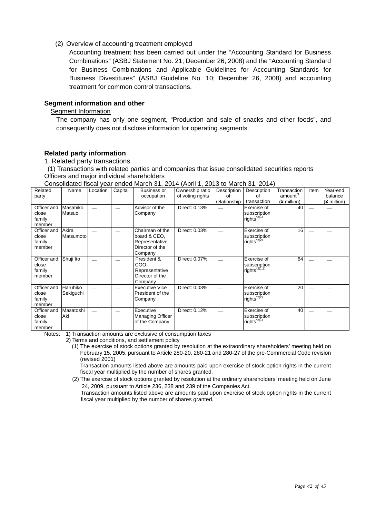(2) Overview of accounting treatment employed

Accounting treatment has been carried out under the "Accounting Standard for Business Combinations" (ASBJ Statement No. 21; December 26, 2008) and the "Accounting Standard for Business Combinations and Applicable Guidelines for Accounting Standards for Business Divestitures" (ASBJ Guideline No. 10; December 26, 2008) and accounting treatment for common control transactions.

### **Segment information and other**

### Segment Information

 The company has only one segment, "Production and sale of snacks and other foods", and consequently does not disclose information for operating segments.

### **Related party information**

#### 1. Related party transactions

(1) Transactions with related parties and companies that issue consolidated securities reports Officers and major individual shareholders

Consolidated fiscal year ended March 31, 2014 (April 1, 2013 to March 31, 2014)

| Related          | Name      | Location | Capital | <b>Business or</b>      | Ownership ratio  | Description  | Description                            | Transaction         | Item | Year-end    |
|------------------|-----------|----------|---------|-------------------------|------------------|--------------|----------------------------------------|---------------------|------|-------------|
| party            |           |          |         | occupation              | of voting rights | Ωf           | Ωf                                     | amount <sup>1</sup> |      | balance     |
|                  |           |          |         |                         |                  | relationship | transaction                            | (¥ million)         |      | (¥ million) |
| Officer and      | Masahiko  |          |         | Advisor of the          | Direct: 0.13%    |              | Exercise of                            | 40                  |      |             |
| close            | Matsuo    |          |         | Company                 |                  |              | subscription<br>$rights^{'2(1)}$       |                     |      |             |
| family<br>member |           |          |         |                         |                  |              |                                        |                     |      |             |
| Officer and      | Akira     |          |         | Chairman of the         | Direct: 0.03%    |              | Exercise of                            | 16                  |      |             |
| close            | Matsumoto |          |         | board & CEO.            |                  |              | subscription                           |                     |      |             |
| family           |           |          |         | Representative          |                  |              | $rights^{\prime 2(2)}$                 |                     |      |             |
| member           |           |          |         | Director of the         |                  |              |                                        |                     |      |             |
|                  |           |          |         | Company                 |                  |              |                                        |                     |      |             |
| Officer and      | Shuji Ito |          |         | President &             | Direct: 0.07%    |              | Exercise of                            | 64                  |      |             |
| close            |           |          |         | COO.                    |                  |              | subscription                           |                     |      |             |
| family           |           |          |         | Representative          |                  |              | $rights^{\star_{2(1,2)}}$              |                     |      |             |
| member           |           |          |         | Director of the         |                  |              |                                        |                     |      |             |
|                  |           |          |         | Company                 |                  |              |                                        |                     |      |             |
| Officer and      | Haruhiko  |          |         | <b>Executive Vice</b>   | Direct: 0.03%    |              | Exercise of                            | 20                  |      |             |
| close            | Sekiguchi |          |         | President of the        |                  |              | subscription<br>$rights^{\prime 2(2)}$ |                     |      |             |
| family           |           |          |         | Company                 |                  |              |                                        |                     |      |             |
| member           |           |          |         |                         |                  |              |                                        |                     |      |             |
| Officer and      | Masatoshi |          |         | Executive               | Direct: 0.12%    |              | Exercise of                            | 40                  |      |             |
| close            | Aki       |          |         | <b>Managing Officer</b> |                  |              | subscription                           |                     |      |             |
| family           |           |          |         | of the Company          |                  |              | $rights^{\prime 2(1)}$                 |                     |      |             |
| member           |           |          |         |                         |                  |              |                                        |                     |      |             |

Notes: 1) Transaction amounts are exclusive of consumption taxes

2) Terms and conditions, and settlement policy

 (1) The exercise of stock options granted by resolution at the extraordinary shareholders' meeting held on February 15, 2005, pursuant to Article 280-20, 280-21 and 280-27 of the pre-Commercial Code revision (revised 2001)

 Transaction amounts listed above are amounts paid upon exercise of stock option rights in the current fiscal year multiplied by the number of shares granted.

(2) The exercise of stock options granted by resolution at the ordinary shareholders' meeting held on June 24, 2009, pursuant to Article 236, 238 and 239 of the Companies Act.

Transaction amounts listed above are amounts paid upon exercise of stock option rights in the current fiscal year multiplied by the number of shares granted.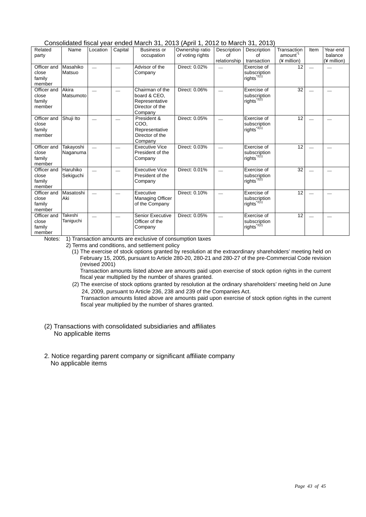Consolidated fiscal year ended March 31, 2013 (April 1, 2012 to March 31, 2013)

|                                          |                       |          |         |                                                                                 | $\cdots$                            |                                   |                                                        |                                                   |      |                                    |
|------------------------------------------|-----------------------|----------|---------|---------------------------------------------------------------------------------|-------------------------------------|-----------------------------------|--------------------------------------------------------|---------------------------------------------------|------|------------------------------------|
| Related<br>party                         | Name                  | Location | Capital | Business or<br>occupation                                                       | Ownership ratio<br>of voting rights | Description<br>of<br>relationship | Description<br>of<br>transaction                       | Transaction<br>amount <sup>1</sup><br>(¥ million) | Item | Year-end<br>balance<br>(¥ million) |
| Officer and<br>close<br>family<br>member | Masahiko<br>Matsuo    |          |         | Advisor of the<br>Company                                                       | Direct: 0.02%                       |                                   | Exercise of<br>subscription<br>rights <sup>*2(1)</sup> | 12                                                |      |                                    |
| Officer and<br>close<br>family<br>member | Akira<br>Matsumoto    |          |         | Chairman of the<br>board & CEO.<br>Representative<br>Director of the<br>Company | Direct: 0.06%                       |                                   | Exercise of<br>subscription<br>rights $^{2(2)}$        | 32                                                |      |                                    |
| Officer and<br>close<br>family<br>member | Shuji Ito             |          |         | President &<br>COO.<br>Representative<br>Director of the<br>Company             | Direct: 0.05%                       |                                   | Exercise of<br>subscription<br>rights <sup>*2(1)</sup> | 12                                                |      |                                    |
| Officer and<br>close<br>family<br>member | Takayoshi<br>Naganuma |          |         | <b>Executive Vice</b><br>President of the<br>Company                            | Direct: 0.03%                       |                                   | Exercise of<br>subscription<br>rights <sup>*2(1)</sup> | 12                                                |      |                                    |
| Officer and<br>close<br>family<br>member | Haruhiko<br>Sekiguchi |          |         | <b>Executive Vice</b><br>President of the<br>Company                            | Direct: 0.01%                       |                                   | Exercise of<br>subscription<br>rights <sup>*2(2)</sup> | 32                                                |      |                                    |
| Officer and<br>close<br>family<br>member | Masatoshi<br>Aki      |          |         | Executive<br>Managing Officer<br>of the Company                                 | Direct: 0.10%                       |                                   | Exercise of<br>subscription<br>rights <sup>*2(1)</sup> | 12                                                |      |                                    |
| Officer and<br>close<br>family<br>member | Takeshi<br>Taniguchi  |          |         | <b>Senior Executive</b><br>Officer of the<br>Company                            | Direct: 0.05%                       |                                   | Exercise of<br>subscription<br>rights <sup>*2(2)</sup> | 12                                                |      |                                    |

Notes: 1) Transaction amounts are exclusive of consumption taxes

2) Terms and conditions, and settlement policy

 (1) The exercise of stock options granted by resolution at the extraordinary shareholders' meeting held on February 15, 2005, pursuant to Article 280-20, 280-21 and 280-27 of the pre-Commercial Code revision (revised 2001)

 Transaction amounts listed above are amounts paid upon exercise of stock option rights in the current fiscal year multiplied by the number of shares granted.

(2) The exercise of stock options granted by resolution at the ordinary shareholders' meeting held on June 24, 2009, pursuant to Article 236, 238 and 239 of the Companies Act.

Transaction amounts listed above are amounts paid upon exercise of stock option rights in the current fiscal year multiplied by the number of shares granted.

- (2) Transactions with consolidated subsidiaries and affiliates No applicable items
- 2. Notice regarding parent company or significant affiliate company No applicable items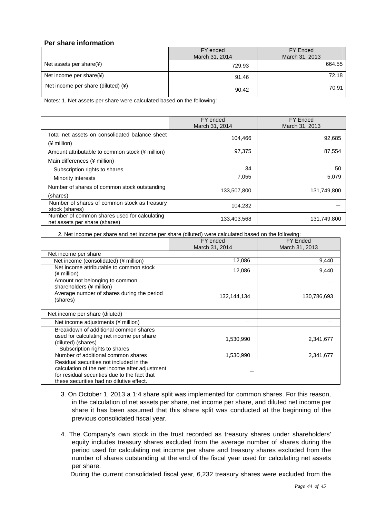### **Per share information**

|                                      | FY ended       | FY Ended       |  |
|--------------------------------------|----------------|----------------|--|
|                                      | March 31, 2014 | March 31, 2013 |  |
| Net assets per share $(*)$           | 729.93         | 664.55         |  |
| Net income per share(¥)              | 91.46          | 72.18          |  |
| Net income per share (diluted) $(*)$ | 90.42          | 70.91          |  |

Notes: 1. Net assets per share were calculated based on the following:

|                                                                               | FY ended<br>March 31, 2014 | <b>FY Ended</b><br>March 31, 2013 |
|-------------------------------------------------------------------------------|----------------------------|-----------------------------------|
| Total net assets on consolidated balance sheet<br>$(*)$ million)              | 104,466                    | 92,685                            |
| Amount attributable to common stock (¥ million)                               | 97,375                     | 87,554                            |
| Main differences (¥ million)                                                  |                            |                                   |
| Subscription rights to shares                                                 | 34                         | 50                                |
| Minority interests                                                            | 7,055                      | 5,079                             |
| Number of shares of common stock outstanding<br>(shares)                      | 133,507,800                | 131,749,800                       |
| Number of shares of common stock as treasury<br>stock (shares)                | 104,232                    |                                   |
| Number of common shares used for calculating<br>net assets per share (shares) | 133,403,568                | 131,749,800                       |

2. Net income per share and net income per share (diluted) were calculated based on the following:

|                                                                                                                                                                                       | FY ended<br>March 31, 2014 | <b>FY Ended</b><br>March 31, 2013 |
|---------------------------------------------------------------------------------------------------------------------------------------------------------------------------------------|----------------------------|-----------------------------------|
| Net income per share                                                                                                                                                                  |                            |                                   |
| Net income (consolidated) (¥ million)                                                                                                                                                 | 12,086                     | 9,440                             |
| Net income attributable to common stock<br>(¥ million)                                                                                                                                | 12,086                     | 9,440                             |
| Amount not belonging to common<br>shareholders (¥ million)                                                                                                                            |                            |                                   |
| Average number of shares during the period<br>(shares)                                                                                                                                | 132,144,134                | 130,786,693                       |
| Net income per share (diluted)                                                                                                                                                        |                            |                                   |
| Net income adjustments (¥ million)                                                                                                                                                    |                            |                                   |
| Breakdown of additional common shares<br>used for calculating net income per share<br>(diluted) (shares)<br>Subscription rights to shares                                             | 1,530,990                  | 2,341,677                         |
| Number of additional common shares                                                                                                                                                    | 1,530,990                  | 2,341,677                         |
| Residual securities not included in the<br>calculation of the net income after adjustment<br>for residual securities due to the fact that<br>these securities had no dilutive effect. |                            |                                   |

- 3. On October 1, 2013 a 1:4 share split was implemented for common shares. For this reason, in the calculation of net assets per share, net income per share, and diluted net income per share it has been assumed that this share split was conducted at the beginning of the previous consolidated fiscal year.
- 4. The Company's own stock in the trust recorded as treasury shares under shareholders' equity includes treasury shares excluded from the average number of shares during the period used for calculating net income per share and treasury shares excluded from the number of shares outstanding at the end of the fiscal year used for calculating net assets per share.

During the current consolidated fiscal year, 6,232 treasury shares were excluded from the